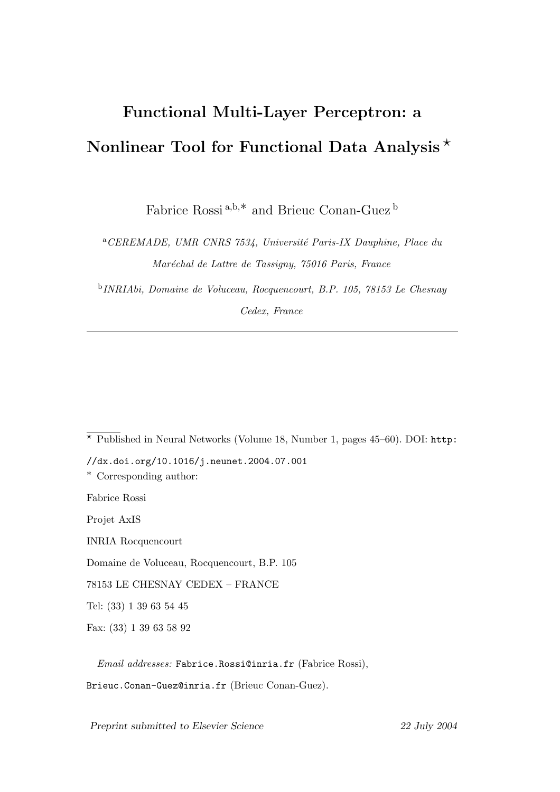# Functional Multi-Layer Perceptron: a Nonlinear Tool for Functional Data Analysis  $\star$

Fabrice Rossi <sup>a</sup>,b,∗ and Brieuc Conan-Guez <sup>b</sup>

<sup>a</sup>CEREMADE, UMR CNRS 7534, Université Paris-IX Dauphine, Place du Maréchal de Lattre de Tassigny, 75016 Paris, France

b INRIAbi, Domaine de Voluceau, Rocquencourt, B.P. 105, 78153 Le Chesnay Cedex, France

 $\overline{\star}$  Published in Neural Networks (Volume 18, Number 1, pages 45–60). DOI: http:

//dx.doi.org/10.1016/j.neunet.2004.07.001

∗ Corresponding author:

Fabrice Rossi

Projet AxIS

INRIA Rocquencourt

Domaine de Voluceau, Rocquencourt, B.P. 105

78153 LE CHESNAY CEDEX – FRANCE

Tel: (33) 1 39 63 54 45

Fax: (33) 1 39 63 58 92

Email addresses: Fabrice.Rossi@inria.fr (Fabrice Rossi),

Brieuc.Conan-Guez@inria.fr (Brieuc Conan-Guez).

Preprint submitted to Elsevier Science 22 July 2004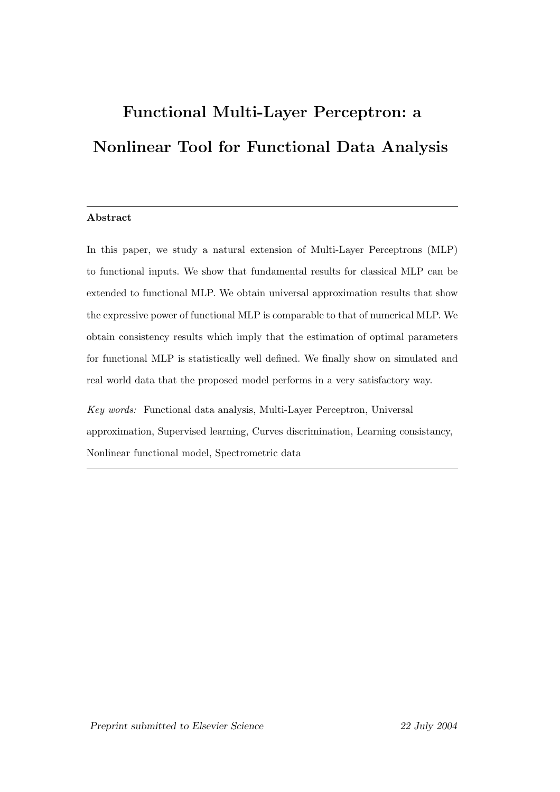# Functional Multi-Layer Perceptron: a Nonlinear Tool for Functional Data Analysis

### Abstract

In this paper, we study a natural extension of Multi-Layer Perceptrons (MLP) to functional inputs. We show that fundamental results for classical MLP can be extended to functional MLP. We obtain universal approximation results that show the expressive power of functional MLP is comparable to that of numerical MLP. We obtain consistency results which imply that the estimation of optimal parameters for functional MLP is statistically well defined. We finally show on simulated and real world data that the proposed model performs in a very satisfactory way.

Key words: Functional data analysis, Multi-Layer Perceptron, Universal approximation, Supervised learning, Curves discrimination, Learning consistancy, Nonlinear functional model, Spectrometric data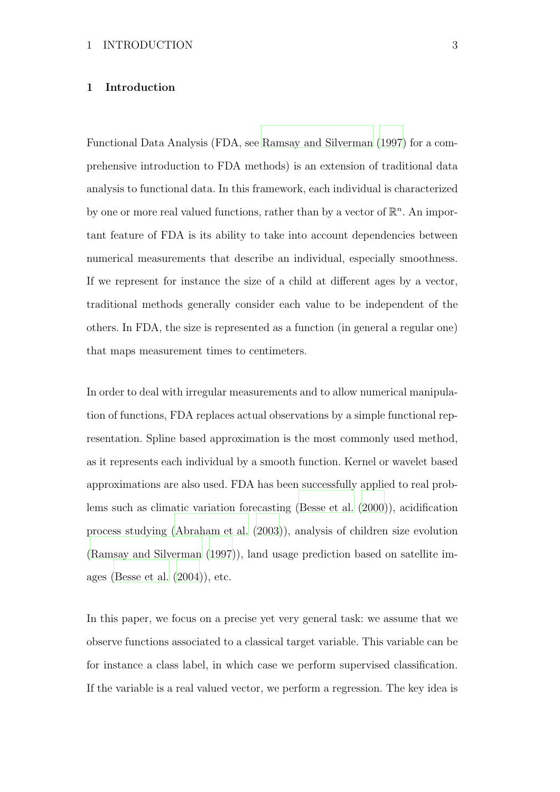# 1 Introduction

Functional Data Analysis (FDA, see [Ramsay and Silverman \(1997\)](#page-52-0) for a comprehensive introduction to FDA methods) is an extension of traditional data analysis to functional data. In this framework, each individual is characterized by one or more real valued functions, rather than by a vector of  $\mathbb{R}^n$ . An important feature of FDA is its ability to take into account dependencies between numerical measurements that describe an individual, especially smoothness. If we represent for instance the size of a child at different ages by a vector, traditional methods generally consider each value to be independent of the others. In FDA, the size is represented as a function (in general a regular one) that maps measurement times to centimeters.

In order to deal with irregular measurements and to allow numerical manipulation of functions, FDA replaces actual observations by a simple functional representation. Spline based approximation is the most commonly used method, as it represents each individual by a smooth function. Kernel or wavelet based approximations are also used. FDA has been successfully applied to real problems such as climatic variation forecasting [\(Besse et al. \(2000](#page-50-0))), acidification process studying [\(Abraham et al. \(2003](#page-50-1))), analysis of children size evolution [\(Ramsay and Silverman \(1997](#page-52-0))), land usage prediction based on satellite images [\(Besse et al. \(2004\)](#page-50-2)), etc.

In this paper, we focus on a precise yet very general task: we assume that we observe functions associated to a classical target variable. This variable can be for instance a class label, in which case we perform supervised classification. If the variable is a real valued vector, we perform a regression. The key idea is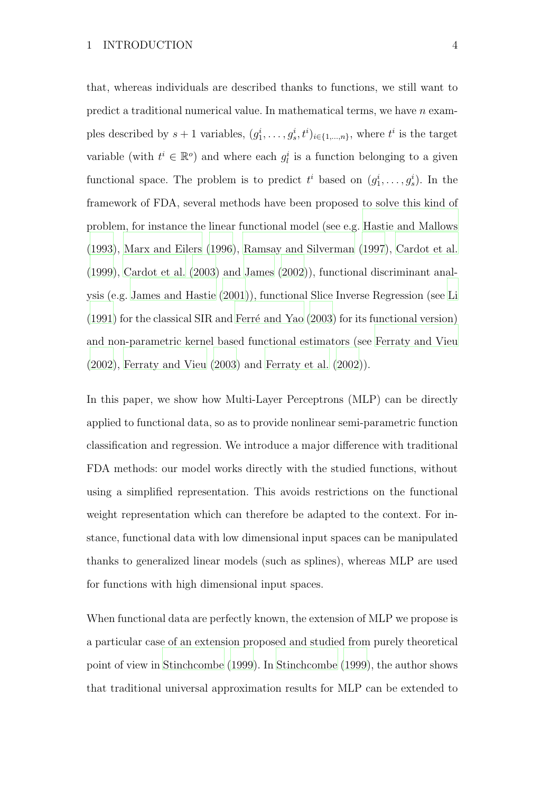that, whereas individuals are described thanks to functions, we still want to predict a traditional numerical value. In mathematical terms, we have  $n$  examples described by  $s+1$  variables,  $(g_1^i, \ldots, g_s^i, t^i)_{i \in \{1, \ldots, n\}}$ , where  $t^i$  is the target variable (with  $t^i \in \mathbb{R}^o$ ) and where each  $g_l^i$  is a function belonging to a given functional space. The problem is to predict  $t^i$  based on  $(g_1^i, \ldots, g_s^i)$ . In the framework of FDA, several methods have been proposed to solve this kind of problem, for instance the linear functional model (see e.g. [Hastie and Mallows](#page-51-0) [\(1993\)](#page-51-0), [Marx and Eilers \(1996\)](#page-52-1), [Ramsay and Silverman \(1997\)](#page-52-0), [Cardot et al.](#page-50-3) [\(1999\)](#page-50-3), [Cardot et al. \(2003\)](#page-50-4) and [James](#page-51-1) [\(2002](#page-51-1))), functional discriminant analysis (e.g. [James and Hastie \(2001](#page-51-2))), functional Slice Inverse Regression (see [Li](#page-52-2)  $(1991)$  for the classical SIR and Ferré and Yao  $(2003)$  for its functional version) and non-parametric kernel based functional estimators (see [Ferraty and Vieu](#page-51-4) [\(2002\)](#page-51-4), [Ferraty and Vieu \(2003](#page-51-5)) and [Ferraty et al. \(2002](#page-51-6))).

In this paper, we show how Multi-Layer Perceptrons (MLP) can be directly applied to functional data, so as to provide nonlinear semi-parametric function classification and regression. We introduce a major difference with traditional FDA methods: our model works directly with the studied functions, without using a simplified representation. This avoids restrictions on the functional weight representation which can therefore be adapted to the context. For instance, functional data with low dimensional input spaces can be manipulated thanks to generalized linear models (such as splines), whereas MLP are used for functions with high dimensional input spaces.

When functional data are perfectly known, the extension of MLP we propose is a particular case of an extension proposed and studied from purely theoretical point of view in [Stinchcombe](#page-52-3) [\(1999](#page-52-3)). In [Stinchcombe \(1999\)](#page-52-3), the author shows that traditional universal approximation results for MLP can be extended to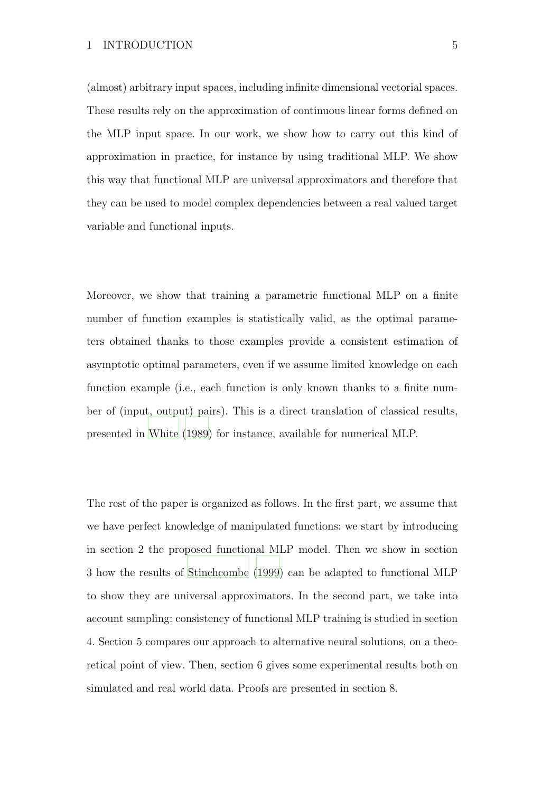(almost) arbitrary input spaces, including infinite dimensional vectorial spaces. These results rely on the approximation of continuous linear forms defined on the MLP input space. In our work, we show how to carry out this kind of approximation in practice, for instance by using traditional MLP. We show this way that functional MLP are universal approximators and therefore that they can be used to model complex dependencies between a real valued target variable and functional inputs.

Moreover, we show that training a parametric functional MLP on a finite number of function examples is statistically valid, as the optimal parameters obtained thanks to those examples provide a consistent estimation of asymptotic optimal parameters, even if we assume limited knowledge on each function example (i.e., each function is only known thanks to a finite number of (input, output) pairs). This is a direct translation of classical results, presented in [White \(1989](#page-52-4)) for instance, available for numerical MLP.

The rest of the paper is organized as follows. In the first part, we assume that we have perfect knowledge of manipulated functions: we start by introducing in section 2 the proposed functional MLP model. Then we show in section 3 how the results of [Stinchcombe \(1999\)](#page-52-3) can be adapted to functional MLP to show they are universal approximators. In the second part, we take into account sampling: consistency of functional MLP training is studied in section 4. Section 5 compares our approach to alternative neural solutions, on a theoretical point of view. Then, section 6 gives some experimental results both on simulated and real world data. Proofs are presented in section 8.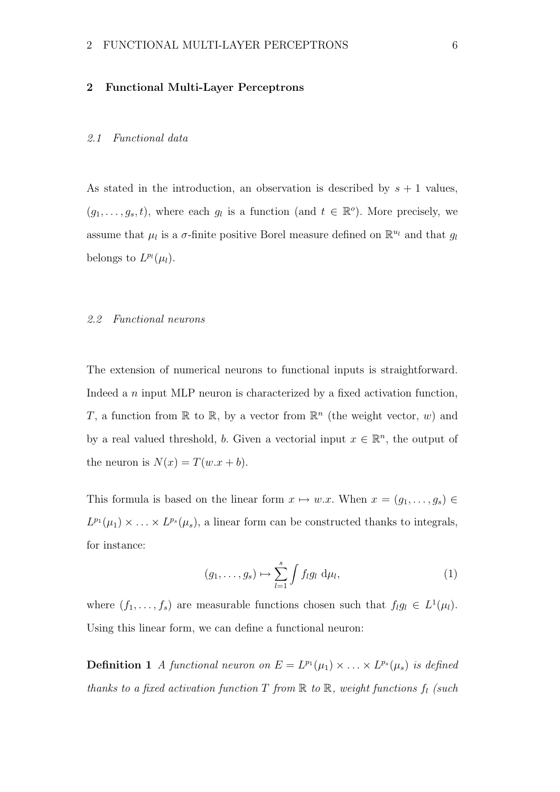#### 2 Functional Multi-Layer Perceptrons

# 2.1 Functional data

As stated in the introduction, an observation is described by  $s + 1$  values,  $(g_1, \ldots, g_s, t)$ , where each  $g_l$  is a function (and  $t \in \mathbb{R}^o$ ). More precisely, we assume that  $\mu_l$  is a  $\sigma$ -finite positive Borel measure defined on  $\mathbb{R}^{u_l}$  and that  $g_l$ belongs to  $L^{p_l}(\mu_l)$ .

#### 2.2 Functional neurons

The extension of numerical neurons to functional inputs is straightforward. Indeed a n input MLP neuron is characterized by a fixed activation function, T, a function from  $\mathbb R$  to  $\mathbb R$ , by a vector from  $\mathbb R^n$  (the weight vector, w) and by a real valued threshold, b. Given a vectorial input  $x \in \mathbb{R}^n$ , the output of the neuron is  $N(x) = T(w.x + b)$ .

This formula is based on the linear form  $x \mapsto w.x$ . When  $x = (g_1, \ldots, g_s) \in$  $L^{p_1}(\mu_1) \times \ldots \times L^{p_s}(\mu_s)$ , a linear form can be constructed thanks to integrals, for instance:

$$
(g_1,\ldots,g_s)\mapsto \sum_{l=1}^s \int f_l g_l \, \mathrm{d}\mu_l,\tag{1}
$$

where  $(f_1, \ldots, f_s)$  are measurable functions chosen such that  $f_l g_l \in L^1(\mu_l)$ . Using this linear form, we can define a functional neuron:

**Definition 1** A functional neuron on  $E = L^{p_1}(\mu_1) \times \ldots \times L^{p_s}(\mu_s)$  is defined thanks to a fixed activation function  $T$  from  $\mathbb R$  to  $\mathbb R$ , weight functions  $f_l$  (such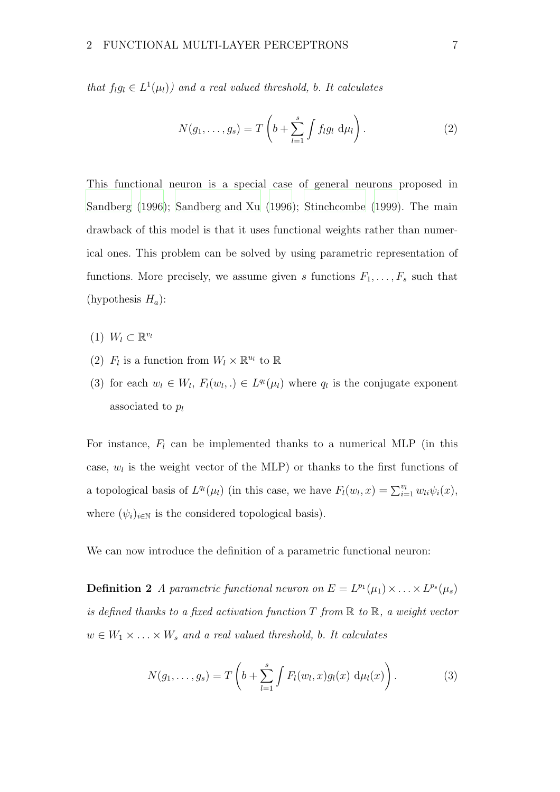that  $f_l g_l \in L^1(\mu_l)$  and a real valued threshold, b. It calculates

$$
N(g_1,\ldots,g_s) = T\left(b + \sum_{l=1}^s \int f_l g_l \, \mathrm{d}\mu_l\right). \tag{2}
$$

This functional neuron is a special case of general neurons proposed in [Sandberg \(1996](#page-52-5)); [Sandberg and Xu \(1996](#page-52-6)); [Stinchcombe \(1999\)](#page-52-3). The main drawback of this model is that it uses functional weights rather than numerical ones. This problem can be solved by using parametric representation of functions. More precisely, we assume given s functions  $F_1, \ldots, F_s$  such that (hypothesis  $H_a$ ):

- $(1)$   $W_l \subset \mathbb{R}^{v_l}$
- (2)  $F_l$  is a function from  $W_l \times \mathbb{R}^{u_l}$  to  $\mathbb R$
- (3) for each  $w_l \in W_l$ ,  $F_l(w_l,.) \in L^{q_l}(\mu_l)$  where  $q_l$  is the conjugate exponent associated to  $p_l$

For instance,  $F_l$  can be implemented thanks to a numerical MLP (in this case,  $w_l$  is the weight vector of the MLP) or thanks to the first functions of a topological basis of  $L^{q_l}(\mu_l)$  (in this case, we have  $F_l(w_l, x) = \sum_{i=1}^{v_l} w_{li} \psi_i(x)$ , where  $(\psi_i)_{i\in\mathbb{N}}$  is the considered topological basis).

We can now introduce the definition of a parametric functional neuron:

**Definition 2** A parametric functional neuron on  $E = L^{p_1}(\mu_1) \times \ldots \times L^{p_s}(\mu_s)$ is defined thanks to a fixed activation function  $T$  from  $\mathbb R$  to  $\mathbb R$ , a weight vector  $w \in W_1 \times \ldots \times W_s$  and a real valued threshold, b. It calculates

$$
N(g_1,\ldots,g_s)=T\left(b+\sum_{l=1}^s\int F_l(w_l,x)g_l(x)\,\mathrm{d}\mu_l(x)\right).
$$
 (3)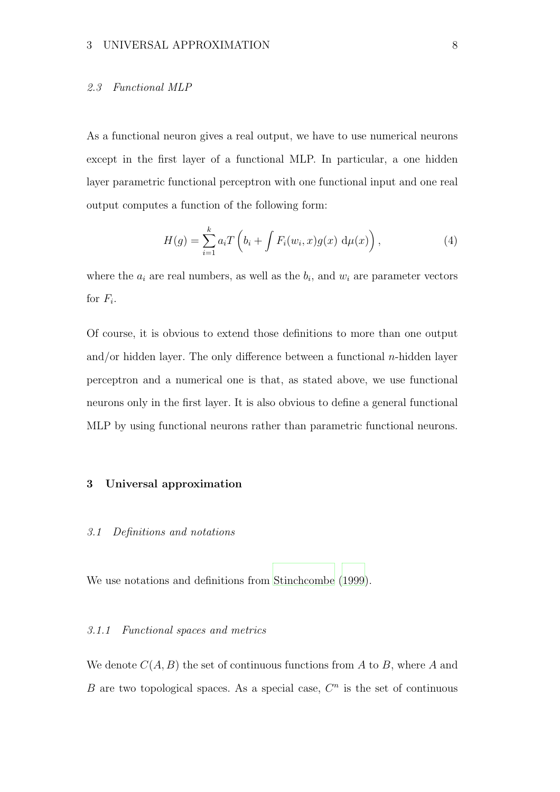#### 2.3 Functional MLP

As a functional neuron gives a real output, we have to use numerical neurons except in the first layer of a functional MLP. In particular, a one hidden layer parametric functional perceptron with one functional input and one real output computes a function of the following form:

$$
H(g) = \sum_{i=1}^{k} a_i T\left(b_i + \int F_i(w_i, x) g(x) d\mu(x)\right), \qquad (4)
$$

where the  $a_i$  are real numbers, as well as the  $b_i$ , and  $w_i$  are parameter vectors for  $F_i$ .

Of course, it is obvious to extend those definitions to more than one output and/or hidden layer. The only difference between a functional  $n$ -hidden layer perceptron and a numerical one is that, as stated above, we use functional neurons only in the first layer. It is also obvious to define a general functional MLP by using functional neurons rather than parametric functional neurons.

# 3 Universal approximation

# 3.1 Definitions and notations

We use notations and definitions from [Stinchcombe \(1999](#page-52-3)).

#### 3.1.1 Functional spaces and metrics

We denote  $C(A, B)$  the set of continuous functions from A to B, where A and B are two topological spaces. As a special case,  $C<sup>n</sup>$  is the set of continuous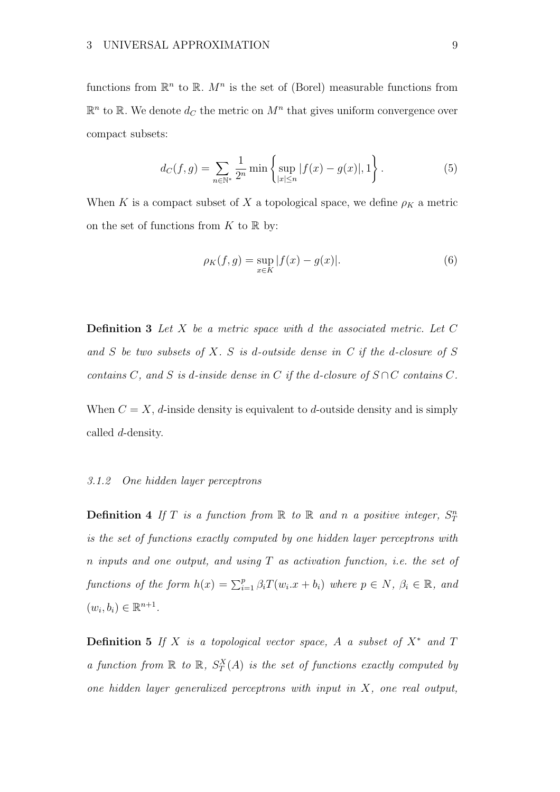functions from  $\mathbb{R}^n$  to  $\mathbb{R}$ .  $M^n$  is the set of (Borel) measurable functions from  $\mathbb{R}^n$  to  $\mathbb{R}$ . We denote  $d_C$  the metric on  $M^n$  that gives uniform convergence over compact subsets:

$$
d_C(f,g) = \sum_{n \in \mathbb{N}^*} \frac{1}{2^n} \min \left\{ \sup_{|x| \le n} |f(x) - g(x)|, 1 \right\}.
$$
 (5)

When K is a compact subset of X a topological space, we define  $\rho_K$  a metric on the set of functions from  $K$  to  $\mathbb R$  by:

$$
\rho_K(f, g) = \sup_{x \in K} |f(x) - g(x)|.
$$
 (6)

**Definition 3** Let X be a metric space with d the associated metric. Let  $C$ and  $S$  be two subsets of  $X$ .  $S$  is d-outside dense in  $C$  if the d-closure of  $S$ contains C, and S is d-inside dense in C if the d-closure of  $S \cap C$  contains C.

When  $C = X$ , d-inside density is equivalent to d-outside density and is simply called d-density.

### 3.1.2 One hidden layer perceptrons

**Definition 4** If T is a function from  $\mathbb R$  to  $\mathbb R$  and n a positive integer,  $S_T^n$ is the set of functions exactly computed by one hidden layer perceptrons with n inputs and one output, and using  $T$  as activation function, i.e. the set of functions of the form  $h(x) = \sum_{i=1}^{p} \beta_i T(w_i.x + b_i)$  where  $p \in N$ ,  $\beta_i \in \mathbb{R}$ , and  $(w_i, b_i) \in \mathbb{R}^{n+1}.$ 

**Definition 5** If X is a topological vector space, A a subset of  $X^*$  and T a function from  $\mathbb R$  to  $\mathbb R$ ,  $S_T^X(A)$  is the set of functions exactly computed by one hidden layer generalized perceptrons with input in  $X$ , one real output,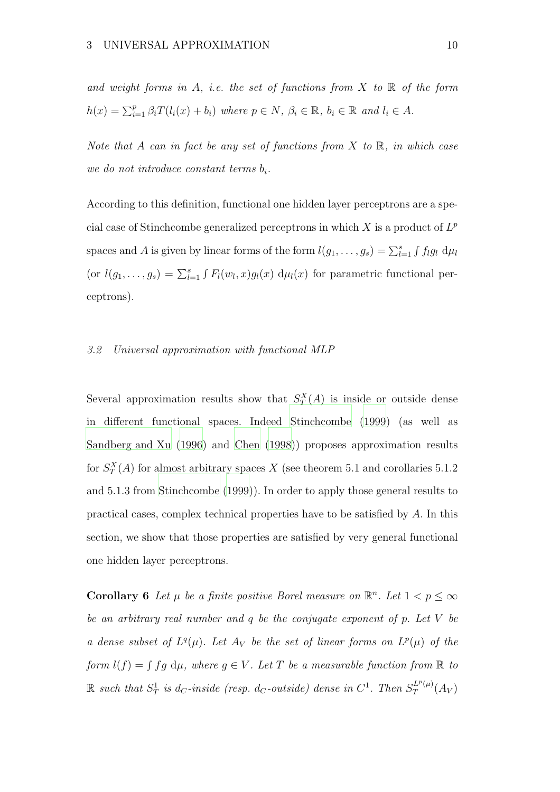and weight forms in A, i.e. the set of functions from  $X$  to  $\mathbb R$  of the form  $h(x) = \sum_{i=1}^{p} \beta_i T(l_i(x) + b_i)$  where  $p \in N$ ,  $\beta_i \in \mathbb{R}$ ,  $b_i \in \mathbb{R}$  and  $l_i \in A$ .

Note that A can in fact be any set of functions from X to  $\mathbb R$ , in which case we do not introduce constant terms  $b_i$ .

According to this definition, functional one hidden layer perceptrons are a special case of Stinchcombe generalized perceptrons in which  $X$  is a product of  $L^p$ spaces and A is given by linear forms of the form  $l(g_1, \ldots, g_s) = \sum_{l=1}^s \int f_l g_l d\mu_l$ (or  $l(g_1,\ldots,g_s) = \sum_{l=1}^s \int F_l(w_l,x)g_l(x) d\mu_l(x)$  for parametric functional perceptrons).

# 3.2 Universal approximation with functional MLP

Several approximation results show that  $S_T^X(A)$  is inside or outside dense in different functional spaces. Indeed [Stinchcombe \(1999](#page-52-3)) (as well as [Sandberg and Xu \(1996](#page-52-6)) and [Chen \(1998](#page-50-5))) proposes approximation results for  $S_T^X(A)$  for almost arbitrary spaces X (see theorem 5.1 and corollaries 5.1.2) and 5.1.3 from [Stinchcombe \(1999\)](#page-52-3)). In order to apply those general results to practical cases, complex technical properties have to be satisfied by A. In this section, we show that those properties are satisfied by very general functional one hidden layer perceptrons.

**Corollary 6** Let  $\mu$  be a finite positive Borel measure on  $\mathbb{R}^n$ . Let  $1 < p \leq \infty$ be an arbitrary real number and q be the conjugate exponent of p. Let V be a dense subset of  $L^q(\mu)$ . Let  $A_V$  be the set of linear forms on  $L^p(\mu)$  of the form  $l(f) = \int fg \ d\mu$ , where  $g \in V$ . Let T be a measurable function from  $\mathbb R$  to  $\mathbb R$  such that  $S_T^1$  is d<sub>C</sub>-inside (resp. d<sub>C</sub>-outside) dense in  $C^1$ . Then  $S_T^{L^p(\mu)}$  $T^{L^r(\mu)}(A_V)$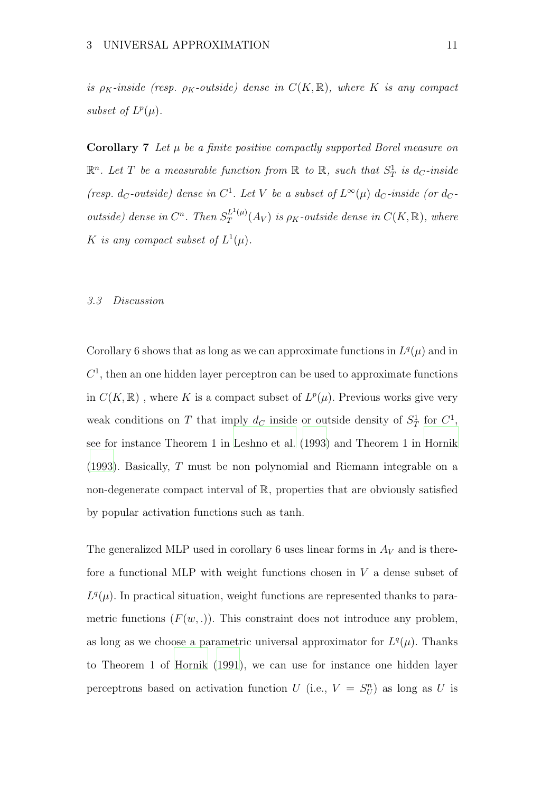is  $\rho_K$ -inside (resp.  $\rho_K$ -outside) dense in  $C(K, \mathbb{R})$ , where K is any compact subset of  $L^p(\mu)$ .

**Corollary 7** Let  $\mu$  be a finite positive compactly supported Borel measure on  $\mathbb{R}^n$ . Let T be a measurable function from  $\mathbb{R}$  to  $\mathbb{R}$ , such that  $S_T^1$  is  $d_C$ -inside (resp. d<sub>C</sub>-outside) dense in  $C^1$ . Let V be a subset of  $L^{\infty}(\mu)$  d<sub>C</sub>-inside (or d<sub>C</sub>outside) dense in  $C^n$ . Then  $S_T^{L^1(\mu)}$  $T^{L^1(\mu)}_T(A_V)$  is  $\rho_K$ -outside dense in  $C(K,\mathbb{R}),$  where K is any compact subset of  $L^1(\mu)$ .

#### 3.3 Discussion

Corollary 6 shows that as long as we can approximate functions in  $L^q(\mu)$  and in  $C<sup>1</sup>$ , then an one hidden layer perceptron can be used to approximate functions in  $C(K, \mathbb{R})$ , where K is a compact subset of  $L^p(\mu)$ . Previous works give very weak conditions on T that imply  $d_C$  inside or outside density of  $S_T^1$  for  $C^1$ , see for instance Theorem 1 in [Leshno et al. \(1993](#page-52-7)) and Theorem 1 in [Hornik](#page-51-7) [\(1993\)](#page-51-7). Basically, T must be non polynomial and Riemann integrable on a non-degenerate compact interval of  $\mathbb{R}$ , properties that are obviously satisfied by popular activation functions such as tanh.

The generalized MLP used in corollary 6 uses linear forms in  $A_V$  and is therefore a functional MLP with weight functions chosen in  $V$  a dense subset of  $L^q(\mu)$ . In practical situation, weight functions are represented thanks to parametric functions  $(F(w, .))$ . This constraint does not introduce any problem, as long as we choose a parametric universal approximator for  $L^q(\mu)$ . Thanks to Theorem 1 of [Hornik \(1991](#page-51-8)), we can use for instance one hidden layer perceptrons based on activation function U (i.e.,  $V = S_U^n$ ) as long as U is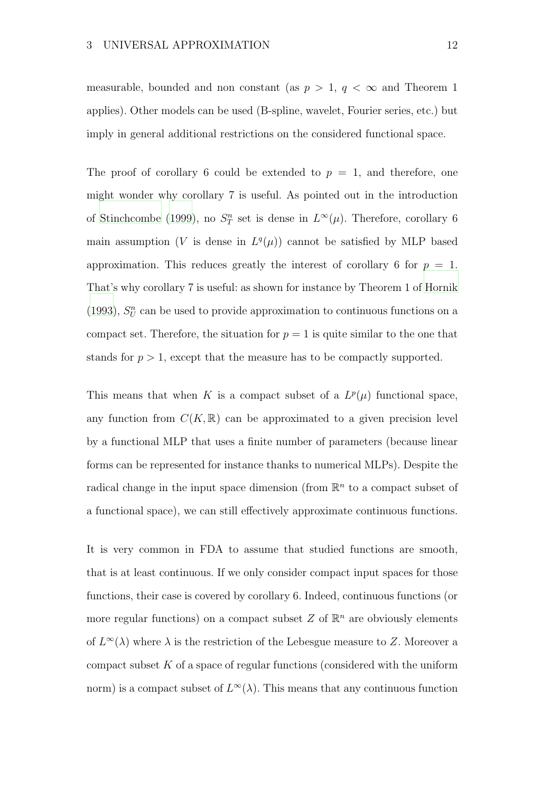measurable, bounded and non constant (as  $p > 1$ ,  $q < \infty$  and Theorem 1 applies). Other models can be used (B-spline, wavelet, Fourier series, etc.) but imply in general additional restrictions on the considered functional space.

The proof of corollary 6 could be extended to  $p = 1$ , and therefore, one might wonder why corollary 7 is useful. As pointed out in the introduction of [Stinchcombe](#page-52-3) [\(1999\)](#page-52-3), no  $S_T^n$  set is dense in  $L^\infty(\mu)$ . Therefore, corollary 6 main assumption (V is dense in  $L^q(\mu)$ ) cannot be satisfied by MLP based approximation. This reduces greatly the interest of corollary 6 for  $p = 1$ . That's why corollary 7 is useful: as shown for instance by Theorem 1 of [Hornik](#page-51-7) [\(1993\)](#page-51-7),  $S_U^n$  can be used to provide approximation to continuous functions on a compact set. Therefore, the situation for  $p = 1$  is quite similar to the one that stands for  $p > 1$ , except that the measure has to be compactly supported.

This means that when K is a compact subset of a  $L^p(\mu)$  functional space, any function from  $C(K,\mathbb{R})$  can be approximated to a given precision level by a functional MLP that uses a finite number of parameters (because linear forms can be represented for instance thanks to numerical MLPs). Despite the radical change in the input space dimension (from  $\mathbb{R}^n$  to a compact subset of a functional space), we can still effectively approximate continuous functions.

It is very common in FDA to assume that studied functions are smooth, that is at least continuous. If we only consider compact input spaces for those functions, their case is covered by corollary 6. Indeed, continuous functions (or more regular functions) on a compact subset  $Z$  of  $\mathbb{R}^n$  are obviously elements of  $L^{\infty}(\lambda)$  where  $\lambda$  is the restriction of the Lebesgue measure to Z. Moreover a compact subset  $K$  of a space of regular functions (considered with the uniform norm) is a compact subset of  $L^{\infty}(\lambda)$ . This means that any continuous function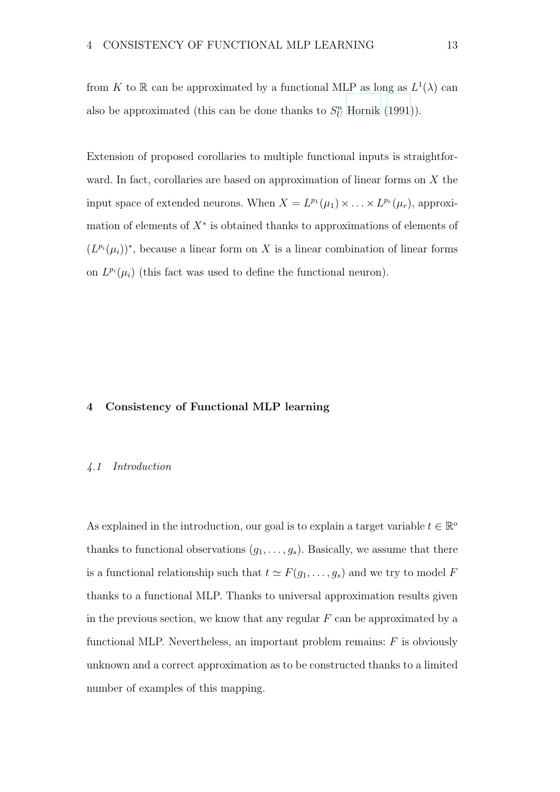from K to R can be approximated by a functional MLP as long as  $L^1(\lambda)$  can also be approximated (this can be done thanks to  $S_U^n$  [Hornik \(1991\)](#page-51-8)).

Extension of proposed corollaries to multiple functional inputs is straightforward. In fact, corollaries are based on approximation of linear forms on  $X$  the input space of extended neurons. When  $X = L^{p_1}(\mu_1) \times \ldots \times L^{p_r}(\mu_r)$ , approximation of elements of  $X^*$  is obtained thanks to approximations of elements of  $(L^{p_i}(\mu_i))^*$ , because a linear form on X is a linear combination of linear forms on  $L^{p_i}(\mu_i)$  (this fact was used to define the functional neuron).

# 4 Consistency of Functional MLP learning

#### 4.1 Introduction

As explained in the introduction, our goal is to explain a target variable  $t \in \mathbb{R}^{\circ}$ thanks to functional observations  $(g_1, \ldots, g_s)$ . Basically, we assume that there is a functional relationship such that  $t \simeq F(g_1, \ldots, g_s)$  and we try to model F thanks to a functional MLP. Thanks to universal approximation results given in the previous section, we know that any regular  $F$  can be approximated by a functional MLP. Nevertheless, an important problem remains:  $F$  is obviously unknown and a correct approximation as to be constructed thanks to a limited number of examples of this mapping.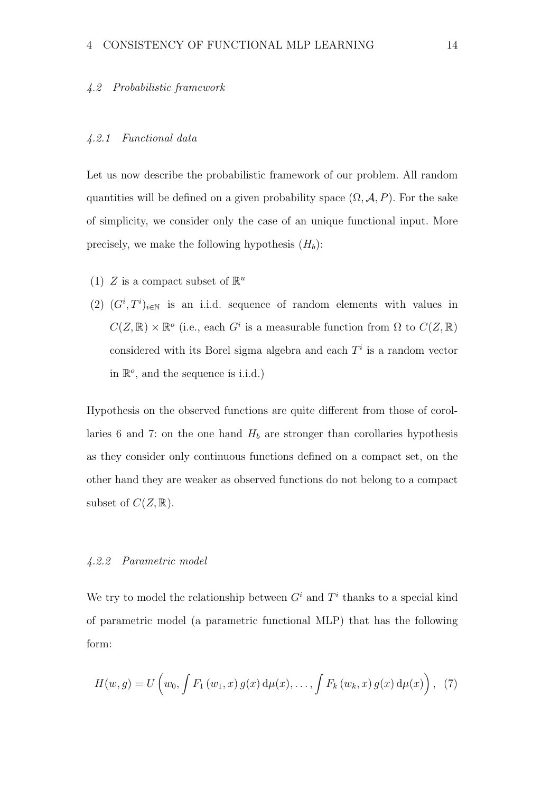#### 4.2 Probabilistic framework

# 4.2.1 Functional data

Let us now describe the probabilistic framework of our problem. All random quantities will be defined on a given probability space  $(\Omega, \mathcal{A}, P)$ . For the sake of simplicity, we consider only the case of an unique functional input. More precisely, we make the following hypothesis  $(H_h)$ :

- (1) Z is a compact subset of  $\mathbb{R}^u$
- (2)  $(G^i, T^i)_{i \in \mathbb{N}}$  is an i.i.d. sequence of random elements with values in  $C(Z, \mathbb{R}) \times \mathbb{R}^o$  (i.e., each  $G^i$  is a measurable function from  $\Omega$  to  $C(Z, \mathbb{R})$ considered with its Borel sigma algebra and each  $T<sup>i</sup>$  is a random vector in  $\mathbb{R}^o$ , and the sequence is i.i.d.)

Hypothesis on the observed functions are quite different from those of corollaries 6 and 7: on the one hand  $H_b$  are stronger than corollaries hypothesis as they consider only continuous functions defined on a compact set, on the other hand they are weaker as observed functions do not belong to a compact subset of  $C(Z, \mathbb{R})$ .

### 4.2.2 Parametric model

We try to model the relationship between  $G^i$  and  $T^i$  thanks to a special kind of parametric model (a parametric functional MLP) that has the following form:

$$
H(w, g) = U\left(w_0, \int F_1(w_1, x) g(x) d\mu(x), \dots, \int F_k(w_k, x) g(x) d\mu(x)\right), (7)
$$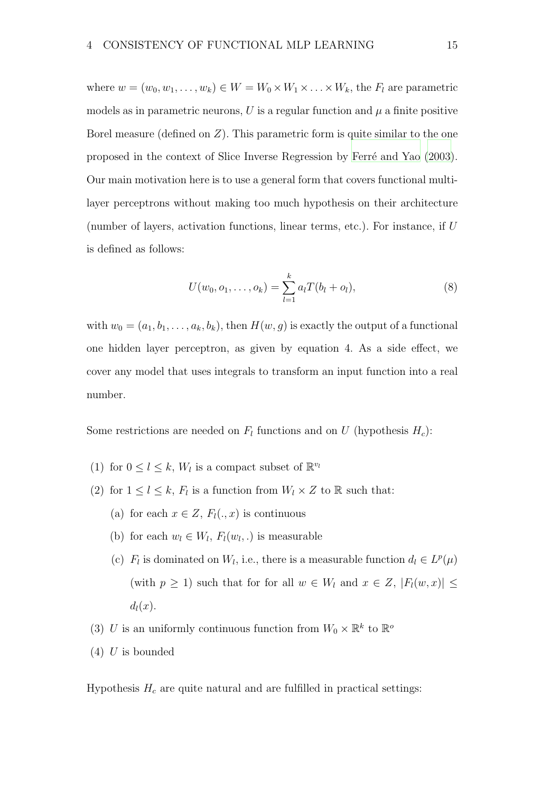where  $w = (w_0, w_1, \ldots, w_k) \in W = W_0 \times W_1 \times \ldots \times W_k$ , the  $F_l$  are parametric models as in parametric neurons, U is a regular function and  $\mu$  a finite positive Borel measure (defined on  $Z$ ). This parametric form is quite similar to the one proposed in the context of Slice Inverse Regression by Ferré and Yao [\(2003\)](#page-51-3). Our main motivation here is to use a general form that covers functional multilayer perceptrons without making too much hypothesis on their architecture (number of layers, activation functions, linear terms, etc.). For instance, if U is defined as follows:

$$
U(w_0, o_1, \dots, o_k) = \sum_{l=1}^k a_l T(b_l + o_l), \qquad (8)
$$

with  $w_0 = (a_1, b_1, \ldots, a_k, b_k)$ , then  $H(w, g)$  is exactly the output of a functional one hidden layer perceptron, as given by equation 4. As a side effect, we cover any model that uses integrals to transform an input function into a real number.

Some restrictions are needed on  $F_l$  functions and on U (hypothesis  $H_c$ ):

- (1) for  $0 \leq l \leq k$ ,  $W_l$  is a compact subset of  $\mathbb{R}^{v_l}$
- (2) for  $1 \leq l \leq k$ ,  $F_l$  is a function from  $W_l \times Z$  to  $\mathbb R$  such that:
	- (a) for each  $x \in Z$ ,  $F_l(.,x)$  is continuous
	- (b) for each  $w_l \in W_l$ ,  $F_l(w_l,.)$  is measurable
	- (c)  $F_l$  is dominated on  $W_l$ , i.e., there is a measurable function  $d_l \in L^p(\mu)$ (with  $p \ge 1$ ) such that for for all  $w \in W_l$  and  $x \in Z$ ,  $|F_l(w, x)| \le$  $d_l(x)$ .
- (3) U is an uniformly continuous function from  $W_0 \times \mathbb{R}^k$  to  $\mathbb{R}^o$
- $(4)$  U is bounded

Hypothesis  $H_c$  are quite natural and are fulfilled in practical settings: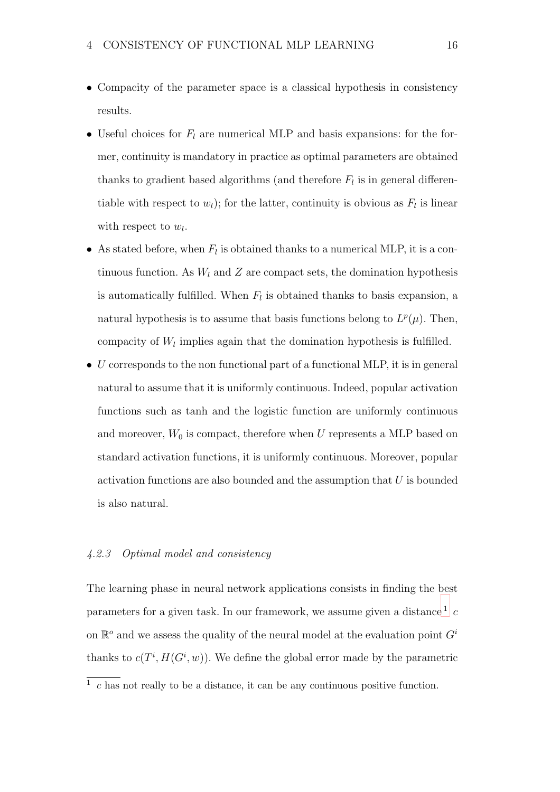- Compacity of the parameter space is a classical hypothesis in consistency results.
- Useful choices for  $F_l$  are numerical MLP and basis expansions: for the former, continuity is mandatory in practice as optimal parameters are obtained thanks to gradient based algorithms (and therefore  $F_l$  is in general differentiable with respect to  $w_l$ ); for the latter, continuity is obvious as  $F_l$  is linear with respect to  $w_l$ .
- As stated before, when  $F_l$  is obtained thanks to a numerical MLP, it is a continuous function. As  $W_l$  and  $Z$  are compact sets, the domination hypothesis is automatically fulfilled. When  $F_l$  is obtained thanks to basis expansion, a natural hypothesis is to assume that basis functions belong to  $L^p(\mu)$ . Then, compacity of  $W_l$  implies again that the domination hypothesis is fulfilled.
- $\bullet$  U corresponds to the non functional part of a functional MLP, it is in general natural to assume that it is uniformly continuous. Indeed, popular activation functions such as tanh and the logistic function are uniformly continuous and moreover,  $W_0$  is compact, therefore when  $U$  represents a MLP based on standard activation functions, it is uniformly continuous. Moreover, popular activation functions are also bounded and the assumption that  $U$  is bounded is also natural.

# 4.2.3 Optimal model and consistency

The learning phase in neural network applications consists in finding the best parameters for a given task. In our framework, we assume given a distance  $^{1}$  $^{1}$  $^{1}$  c on  $\mathbb{R}^o$  and we assess the quality of the neural model at the evaluation point  $G^i$ thanks to  $c(T^i, H(G^i, w))$ . We define the global error made by the parametric

<span id="page-15-0"></span> $\frac{1}{1}$  c has not really to be a distance, it can be any continuous positive function.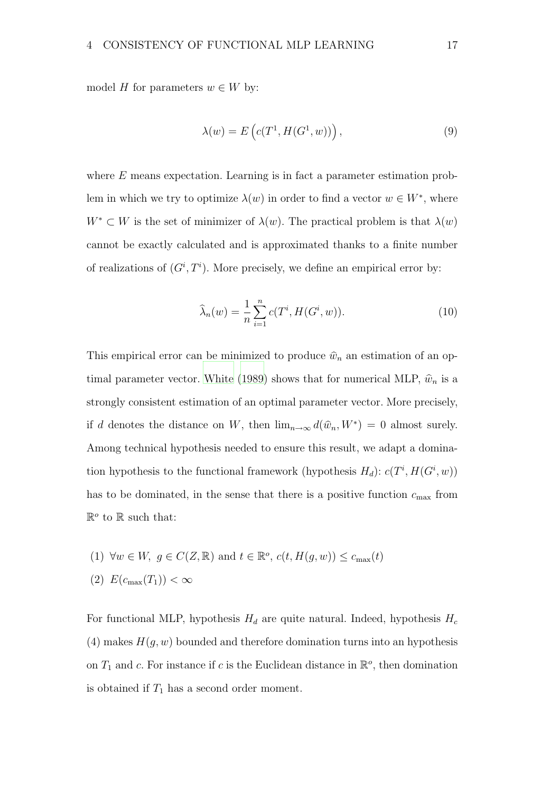model H for parameters  $w \in W$  by:

$$
\lambda(w) = E\left(c(T^1, H(G^1, w))\right),\tag{9}
$$

where  $E$  means expectation. Learning is in fact a parameter estimation problem in which we try to optimize  $\lambda(w)$  in order to find a vector  $w \in W^*$ , where  $W^* \subset W$  is the set of minimizer of  $\lambda(w)$ . The practical problem is that  $\lambda(w)$ cannot be exactly calculated and is approximated thanks to a finite number of realizations of  $(G^i, T^i)$ . More precisely, we define an empirical error by:

$$
\widehat{\lambda}_n(w) = \frac{1}{n} \sum_{i=1}^n c(T^i, H(G^i, w)).
$$
\n(10)

This empirical error can be minimized to produce  $\hat{w}_n$  an estimation of an op-timal parameter vector. [White \(1989](#page-52-4)) shows that for numerical MLP,  $\hat{w}_n$  is a strongly consistent estimation of an optimal parameter vector. More precisely, if d denotes the distance on W, then  $\lim_{n\to\infty} d(\hat{w}_n, W^*) = 0$  almost surely. Among technical hypothesis needed to ensure this result, we adapt a domination hypothesis to the functional framework (hypothesis  $H_d$ ):  $c(T^i, H(G^i, w))$ has to be dominated, in the sense that there is a positive function  $c_{\text{max}}$  from  $\mathbb{R}^o$  to  $\mathbb R$  such that:

(1) 
$$
\forall w \in W, g \in C(Z, \mathbb{R})
$$
 and  $t \in \mathbb{R}^o$ ,  $c(t, H(g, w)) \le c_{\max}(t)$   
(2)  $E(c_{\max}(T_1)) < \infty$ 

For functional MLP, hypothesis  $H_d$  are quite natural. Indeed, hypothesis  $H_c$ (4) makes  $H(q, w)$  bounded and therefore domination turns into an hypothesis on  $T_1$  and c. For instance if c is the Euclidean distance in  $\mathbb{R}^o$ , then domination is obtained if  $T_1$  has a second order moment.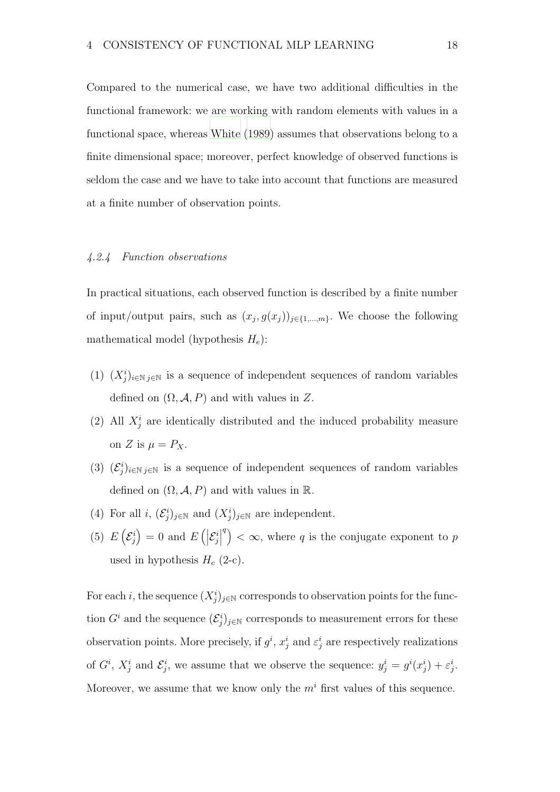Compared to the numerical case, we have two additional difficulties in the functional framework: we are working with random elements with values in a functional space, whereas [White \(1989\)](#page-52-4) assumes that observations belong to a finite dimensional space; moreover, perfect knowledge of observed functions is seldom the case and we have to take into account that functions are measured at a finite number of observation points.

# 4.2.4 Function observations

In practical situations, each observed function is described by a finite number of input/output pairs, such as  $(x_j, g(x_j))_{j \in \{1, \ldots, m\}}$ . We choose the following mathematical model (hypothesis  $H_e$ ):

- (1)  $(X_j^i)_{i \in \mathbb{N}}$  is a sequence of independent sequences of random variables defined on  $(\Omega, \mathcal{A}, P)$  and with values in Z.
- (2) All  $X_j^i$  are identically distributed and the induced probability measure on Z is  $\mu = P_X$ .
- (3)  $(\mathcal{E}_j^i)_{i\in\mathbb{N}}$  j<sub>∈N</sub> is a sequence of independent sequences of random variables defined on  $(\Omega, \mathcal{A}, P)$  and with values in  $\mathbb{R}$ .
- (4) For all  $i, (\mathcal{E}^i_j)_{j \in \mathbb{N}}$  and  $(X^i_j)_{j \in \mathbb{N}}$  are independent.
- (5)  $E\left(\mathcal{E}_j^i\right)$  $\Big) = 0$  and  $E\left(\Big|\mathcal{E}^i_j\right)$   $\binom{q}{k} < \infty$ , where q is the conjugate exponent to p used in hypothesis  $H_c$  (2-c).

For each i, the sequence  $(X_j^i)_{j\in\mathbb{N}}$  corresponds to observation points for the function  $G^i$  and the sequence  $(\mathcal{E}^i_j)_{j\in\mathbb{N}}$  corresponds to measurement errors for these observation points. More precisely, if  $g^i$ ,  $x_j^i$  and  $\varepsilon_j^i$  are respectively realizations of  $G^i$ ,  $X^i_j$  and  $\mathcal{E}^i_j$ , we assume that we observe the sequence:  $y^i_j = g^i(x^i_j) + \varepsilon^i_j$ . Moreover, we assume that we know only the  $m<sup>i</sup>$  first values of this sequence.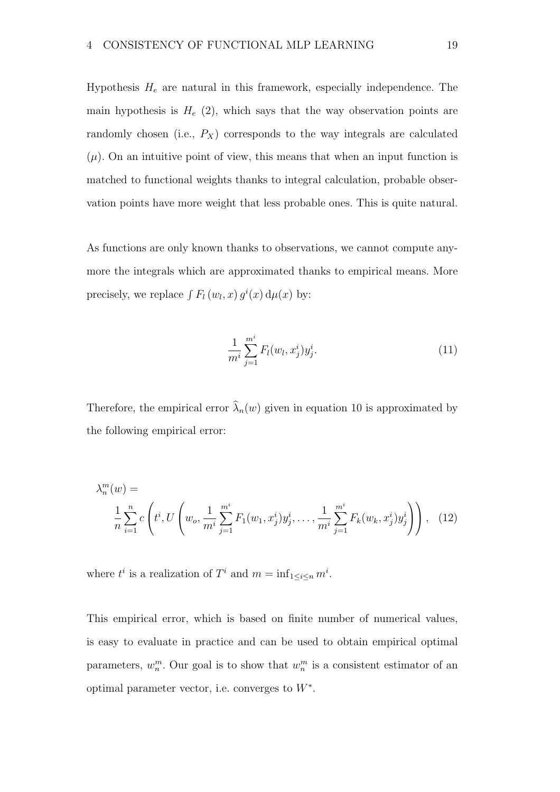Hypothesis  $H_e$  are natural in this framework, especially independence. The main hypothesis is  $H_e$  (2), which says that the way observation points are randomly chosen (i.e.,  $P_X$ ) corresponds to the way integrals are calculated  $(\mu)$ . On an intuitive point of view, this means that when an input function is matched to functional weights thanks to integral calculation, probable observation points have more weight that less probable ones. This is quite natural.

As functions are only known thanks to observations, we cannot compute anymore the integrals which are approximated thanks to empirical means. More precisely, we replace  $\int F_l(w_l, x) g^i(x) d\mu(x)$  by:

$$
\frac{1}{m^i} \sum_{j=1}^{m^i} F_l(w_l, x_j^i) y_j^i.
$$
 (11)

Therefore, the empirical error  $\hat{\lambda}_n(w)$  given in equation 10 is approximated by the following empirical error:

$$
\lambda_n^m(w) = \frac{1}{n} \sum_{i=1}^n c\left( t^i, U\left(w_o, \frac{1}{m^i} \sum_{j=1}^{m^i} F_1(w_1, x_j^i) y_j^i, \dots, \frac{1}{m^i} \sum_{j=1}^{m^i} F_k(w_k, x_j^i) y_j^i\right) \right), \quad (12)
$$

where  $t^i$  is a realization of  $T^i$  and  $m = \inf_{1 \le i \le n} m^i$ .

This empirical error, which is based on finite number of numerical values, is easy to evaluate in practice and can be used to obtain empirical optimal parameters,  $w_n^m$ . Our goal is to show that  $w_n^m$  is a consistent estimator of an optimal parameter vector, i.e. converges to  $W^*$ .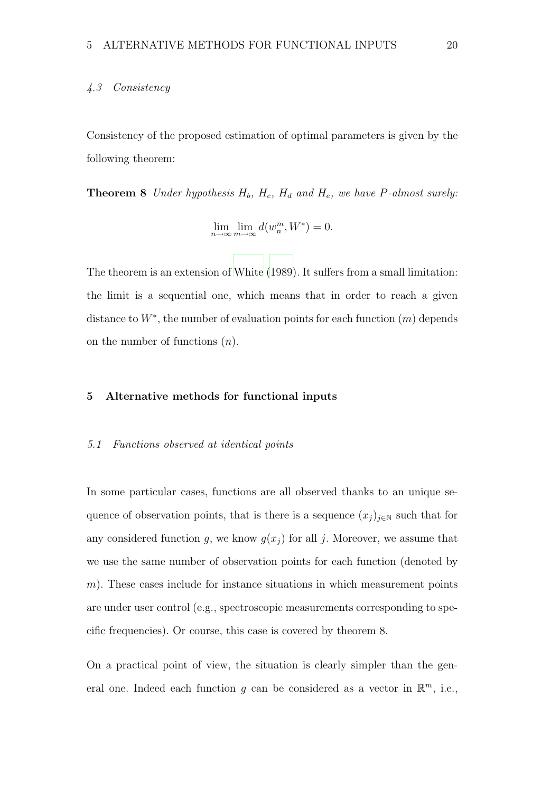# 4.3 Consistency

Consistency of the proposed estimation of optimal parameters is given by the following theorem:

**Theorem 8** Under hypothesis  $H_b$ ,  $H_c$ ,  $H_d$  and  $H_e$ , we have P-almost surely:

$$
\lim_{n \to \infty} \lim_{m \to \infty} d(w_n^m, W^*) = 0.
$$

The theorem is an extension of [White \(1989\)](#page-52-4). It suffers from a small limitation: the limit is a sequential one, which means that in order to reach a given distance to  $W^*$ , the number of evaluation points for each function  $(m)$  depends on the number of functions  $(n)$ .

# 5 Alternative methods for functional inputs

#### 5.1 Functions observed at identical points

In some particular cases, functions are all observed thanks to an unique sequence of observation points, that is there is a sequence  $(x_j)_{j\in\mathbb{N}}$  such that for any considered function g, we know  $g(x_i)$  for all j. Moreover, we assume that we use the same number of observation points for each function (denoted by  $m$ ). These cases include for instance situations in which measurement points are under user control (e.g., spectroscopic measurements corresponding to specific frequencies). Or course, this case is covered by theorem 8.

On a practical point of view, the situation is clearly simpler than the general one. Indeed each function g can be considered as a vector in  $\mathbb{R}^m$ , i.e.,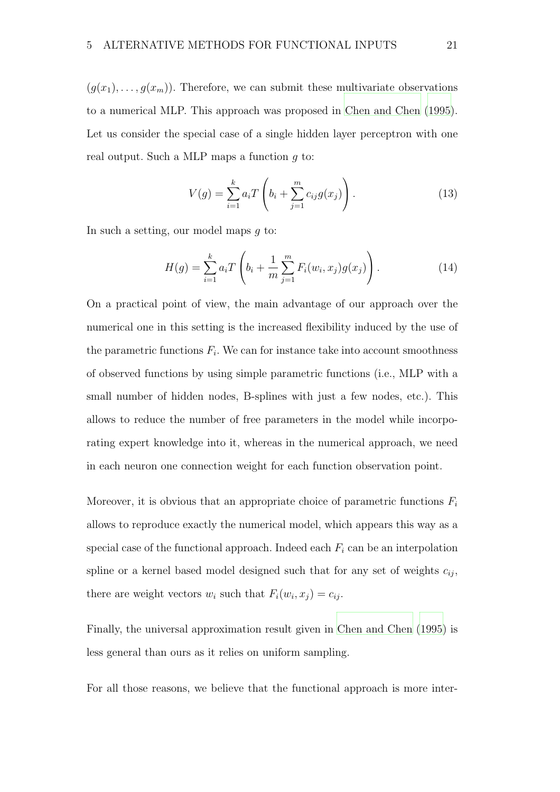$(g(x_1),...,g(x_m))$ . Therefore, we can submit these multivariate observations to a numerical MLP. This approach was proposed in [Chen and Chen](#page-51-9) [\(1995\)](#page-51-9). Let us consider the special case of a single hidden layer perceptron with one real output. Such a MLP maps a function g to:

$$
V(g) = \sum_{i=1}^{k} a_i T\left(b_i + \sum_{j=1}^{m} c_{ij} g(x_j)\right).
$$
 (13)

In such a setting, our model maps  $q$  to:

$$
H(g) = \sum_{i=1}^{k} a_i T\left(b_i + \frac{1}{m} \sum_{j=1}^{m} F_i(w_i, x_j) g(x_j)\right).
$$
 (14)

On a practical point of view, the main advantage of our approach over the numerical one in this setting is the increased flexibility induced by the use of the parametric functions  $F_i$ . We can for instance take into account smoothness of observed functions by using simple parametric functions (i.e., MLP with a small number of hidden nodes, B-splines with just a few nodes, etc.). This allows to reduce the number of free parameters in the model while incorporating expert knowledge into it, whereas in the numerical approach, we need in each neuron one connection weight for each function observation point.

Moreover, it is obvious that an appropriate choice of parametric functions  $F_i$ allows to reproduce exactly the numerical model, which appears this way as a special case of the functional approach. Indeed each  $F_i$  can be an interpolation spline or a kernel based model designed such that for any set of weights  $c_{ij}$ , there are weight vectors  $w_i$  such that  $F_i(w_i, x_j) = c_{ij}$ .

Finally, the universal approximation result given in [Chen and](#page-51-9) Chen [\(1995](#page-51-9)) is less general than ours as it relies on uniform sampling.

For all those reasons, we believe that the functional approach is more inter-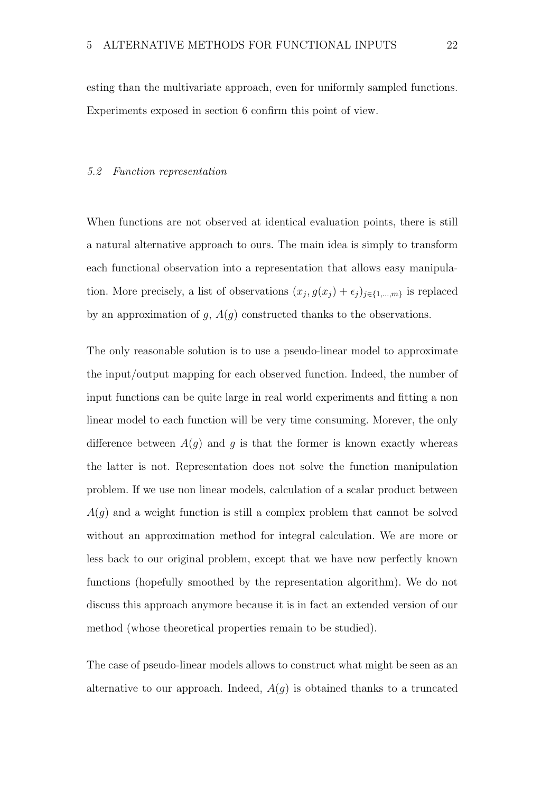esting than the multivariate approach, even for uniformly sampled functions. Experiments exposed in section 6 confirm this point of view.

#### 5.2 Function representation

When functions are not observed at identical evaluation points, there is still a natural alternative approach to ours. The main idea is simply to transform each functional observation into a representation that allows easy manipulation. More precisely, a list of observations  $(x_j, g(x_j) + \epsilon_j)_{j \in \{1, \ldots, m\}}$  is replaced by an approximation of  $g$ ,  $A(g)$  constructed thanks to the observations.

The only reasonable solution is to use a pseudo-linear model to approximate the input/output mapping for each observed function. Indeed, the number of input functions can be quite large in real world experiments and fitting a non linear model to each function will be very time consuming. Morever, the only difference between  $A(g)$  and g is that the former is known exactly whereas the latter is not. Representation does not solve the function manipulation problem. If we use non linear models, calculation of a scalar product between  $A(g)$  and a weight function is still a complex problem that cannot be solved without an approximation method for integral calculation. We are more or less back to our original problem, except that we have now perfectly known functions (hopefully smoothed by the representation algorithm). We do not discuss this approach anymore because it is in fact an extended version of our method (whose theoretical properties remain to be studied).

The case of pseudo-linear models allows to construct what might be seen as an alternative to our approach. Indeed,  $A(g)$  is obtained thanks to a truncated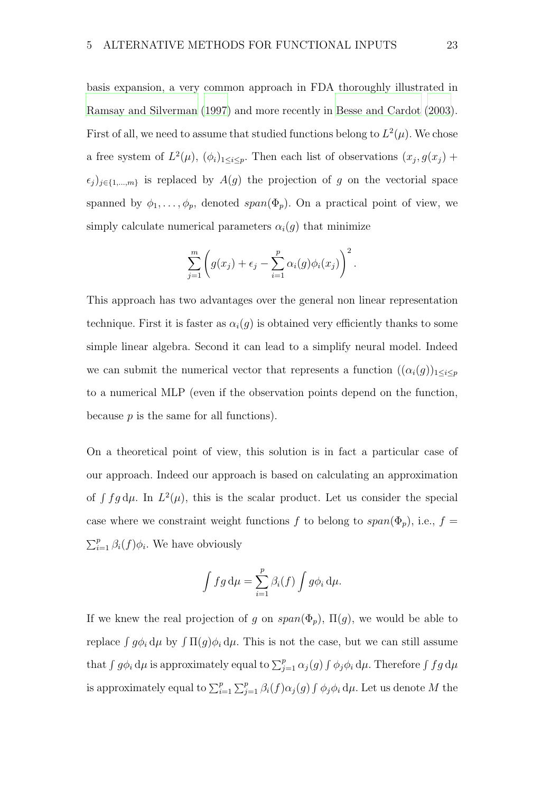basis expansion, a very common approach in FDA thoroughly illustrated in [Ramsay and Silverman \(1997](#page-52-0)) and more recently in [Besse and Cardot \(2003\)](#page-50-6). First of all, we need to assume that studied functions belong to  $L^2(\mu)$ . We chose a free system of  $L^2(\mu)$ ,  $(\phi_i)_{1 \leq i \leq p}$ . Then each list of observations  $(x_j, g(x_j) +$  $\epsilon_j$ )<sub>j∈{1,...,m}</sub> is replaced by  $A(g)$  the projection of g on the vectorial space spanned by  $\phi_1, \ldots, \phi_p$ , denoted  $span(\Phi_p)$ . On a practical point of view, we simply calculate numerical parameters  $\alpha_i(g)$  that minimize

$$
\sum_{j=1}^m \left( g(x_j) + \epsilon_j - \sum_{i=1}^p \alpha_i(g) \phi_i(x_j) \right)^2.
$$

This approach has two advantages over the general non linear representation technique. First it is faster as  $\alpha_i(q)$  is obtained very efficiently thanks to some simple linear algebra. Second it can lead to a simplify neural model. Indeed we can submit the numerical vector that represents a function  $((\alpha_i(g))_{1\leq i\leq p})$ to a numerical MLP (even if the observation points depend on the function, because  $p$  is the same for all functions).

On a theoretical point of view, this solution is in fact a particular case of our approach. Indeed our approach is based on calculating an approximation of  $\int f g d\mu$ . In  $L^2(\mu)$ , this is the scalar product. Let us consider the special case where we constraint weight functions f to belong to  $span(\Phi_p)$ , i.e.,  $f =$  $\sum_{i=1}^{p} \beta_i(f) \phi_i$ . We have obviously

$$
\int fg \, d\mu = \sum_{i=1}^p \beta_i(f) \int g \phi_i \, d\mu.
$$

If we knew the real projection of g on  $span(\Phi_p)$ ,  $\Pi(g)$ , we would be able to replace  $\int g \phi_i \, d\mu$  by  $\int \Pi(g) \phi_i \, d\mu$ . This is not the case, but we can still assume that  $\int g \phi_i \, d\mu$  is approximately equal to  $\sum_{j=1}^p \alpha_j(g) \int \phi_j \phi_i \, d\mu$ . Therefore  $\int f g \, d\mu$ is approximately equal to  $\sum_{i=1}^p\sum_{j=1}^p\beta_i(f)\alpha_j(g)\int \phi_j\phi_i\,\mathrm{d}\mu$ . Let us denote M the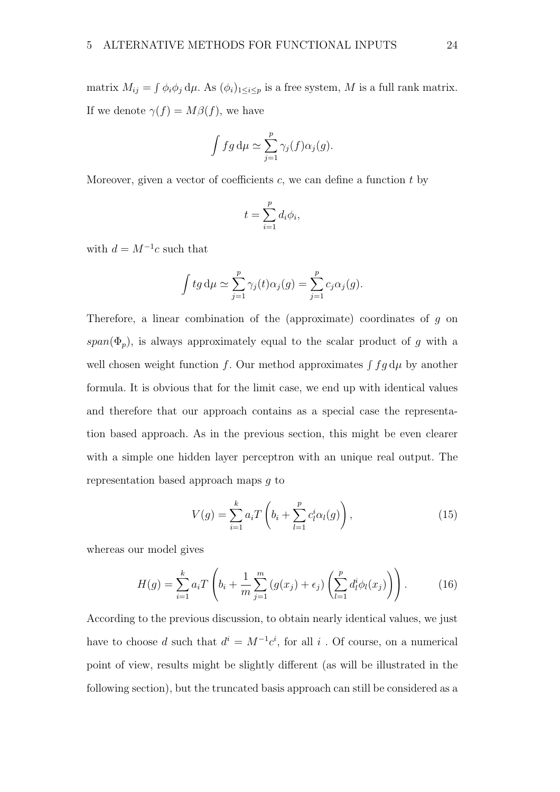matrix  $M_{ij} = \int \phi_i \phi_j d\mu$ . As  $(\phi_i)_{1 \leq i \leq p}$  is a free system, M is a full rank matrix. If we denote  $\gamma(f) = M\beta(f)$ , we have

$$
\int fg \, d\mu \simeq \sum_{j=1}^p \gamma_j(f) \alpha_j(g).
$$

Moreover, given a vector of coefficients  $c$ , we can define a function  $t$  by

$$
t = \sum_{i=1}^{p} d_i \phi_i,
$$

with  $d = M^{-1}c$  such that

$$
\int tg d\mu \simeq \sum_{j=1}^p \gamma_j(t)\alpha_j(g) = \sum_{j=1}^p c_j \alpha_j(g).
$$

Therefore, a linear combination of the (approximate) coordinates of g on span( $\Phi_p$ ), is always approximately equal to the scalar product of g with a well chosen weight function f. Our method approximates  $\int f g d\mu$  by another formula. It is obvious that for the limit case, we end up with identical values and therefore that our approach contains as a special case the representation based approach. As in the previous section, this might be even clearer with a simple one hidden layer perceptron with an unique real output. The representation based approach maps g to

$$
V(g) = \sum_{i=1}^{k} a_i T\left(b_i + \sum_{l=1}^{p} c_l^i \alpha_l(g)\right),
$$
 (15)

whereas our model gives

$$
H(g) = \sum_{i=1}^{k} a_i T\left(b_i + \frac{1}{m} \sum_{j=1}^{m} (g(x_j) + \epsilon_j) \left(\sum_{l=1}^{p} d_l^i \phi_l(x_j)\right)\right).
$$
 (16)

According to the previous discussion, to obtain nearly identical values, we just have to choose d such that  $d^i = M^{-1}c^i$ , for all i. Of course, on a numerical point of view, results might be slightly different (as will be illustrated in the following section), but the truncated basis approach can still be considered as a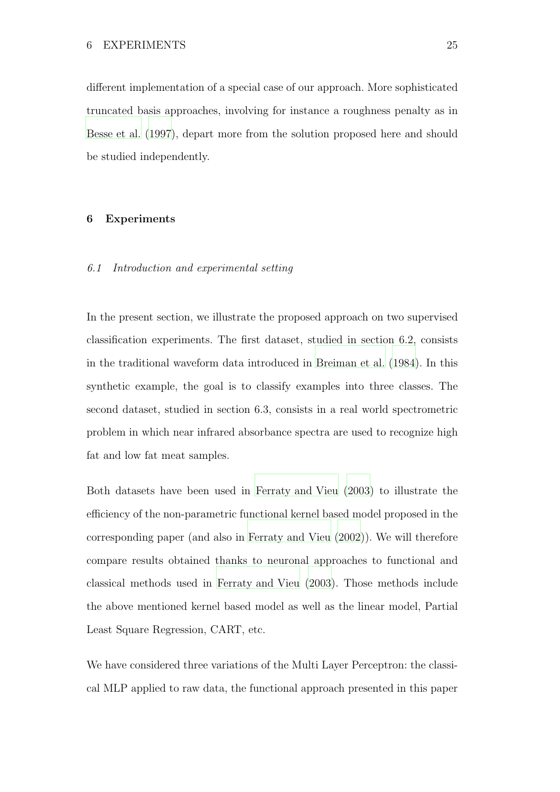different implementation of a special case of our approach. More sophisticated truncated basis approaches, involving for instance a roughness penalty as in [Besse et al.](#page-50-7) [\(1997](#page-50-7)), depart more from the solution proposed here and should be studied independently.

#### 6 Experiments

#### 6.1 Introduction and experimental setting

In the present section, we illustrate the proposed approach on two supervised classification experiments. The first dataset, studied in section 6.2, consists in the traditional waveform data introduced in [Breiman et al.](#page-50-8) [\(1984\)](#page-50-8). In this synthetic example, the goal is to classify examples into three classes. The second dataset, studied in section 6.3, consists in a real world spectrometric problem in which near infrared absorbance spectra are used to recognize high fat and low fat meat samples.

Both datasets have been used in [Ferraty and Vieu](#page-51-5) [\(2003\)](#page-51-5) to illustrate the efficiency of the non-parametric functional kernel based model proposed in the corresponding paper (and also in [Ferraty and Vieu \(2002](#page-51-4))). We will therefore compare results obtained thanks to neuronal approaches to functional and classical methods used in [Ferraty and Vieu \(2003\)](#page-51-5). Those methods include the above mentioned kernel based model as well as the linear model, Partial Least Square Regression, CART, etc.

We have considered three variations of the Multi Layer Perceptron: the classical MLP applied to raw data, the functional approach presented in this paper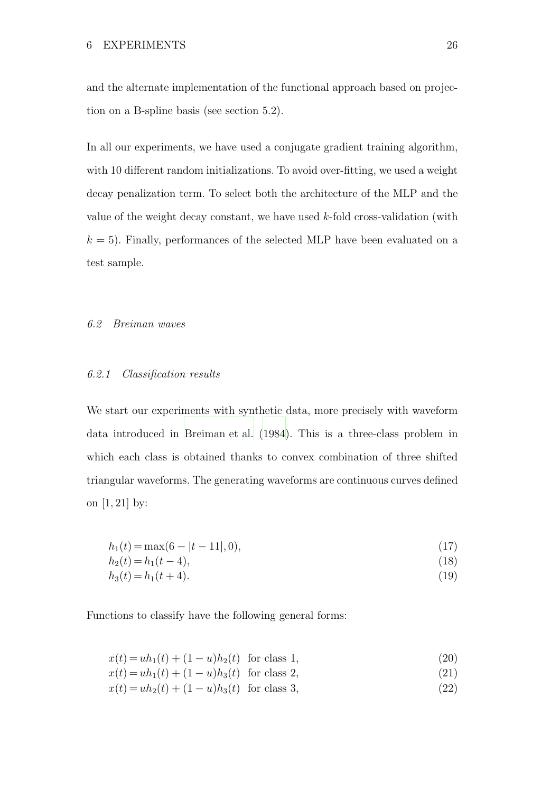and the alternate implementation of the functional approach based on projection on a B-spline basis (see section 5.2).

In all our experiments, we have used a conjugate gradient training algorithm, with 10 different random initializations. To avoid over-fitting, we used a weight decay penalization term. To select both the architecture of the MLP and the value of the weight decay constant, we have used k-fold cross-validation (with  $k = 5$ ). Finally, performances of the selected MLP have been evaluated on a test sample.

#### 6.2 Breiman waves

#### 6.2.1 Classification results

We start our experiments with synthetic data, more precisely with waveform data introduced in [Breiman et al. \(1984](#page-50-8)). This is a three-class problem in which each class is obtained thanks to convex combination of three shifted triangular waveforms. The generating waveforms are continuous curves defined on [1, 21] by:

$$
h_1(t) = \max(6 - |t - 11|, 0),\tag{17}
$$

$$
h_2(t) = h_1(t - 4),
$$
\n(18)

$$
h_3(t) = h_1(t+4). \tag{19}
$$

Functions to classify have the following general forms:

$$
x(t) = uh_1(t) + (1 - u)h_2(t) \text{ for class } 1,
$$
\n(20)

$$
x(t) = uh_1(t) + (1 - u)h_3(t) \text{ for class } 2,
$$
\n(21)

$$
x(t) = uh_2(t) + (1 - u)h_3(t) \text{ for class 3,}
$$
\n(22)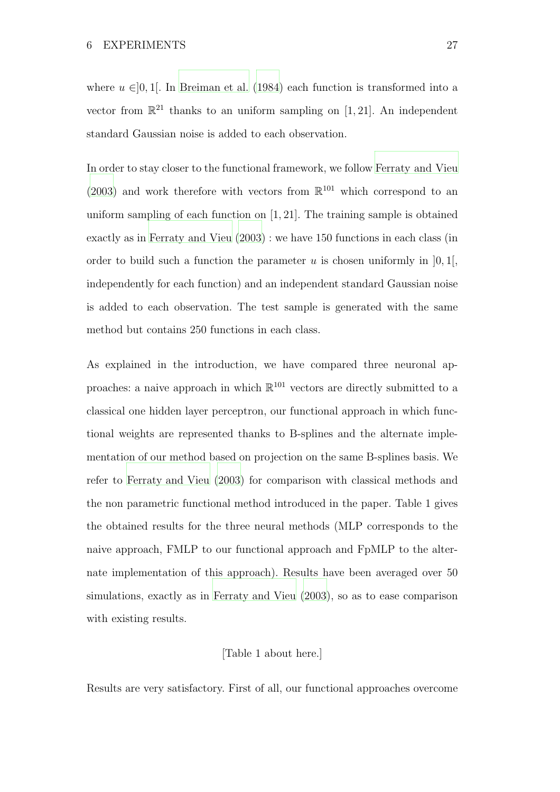where  $u \in ]0,1[$ . In [Breiman et al. \(1984](#page-50-8)) each function is transformed into a vector from  $\mathbb{R}^{21}$  thanks to an uniform sampling on [1, 21]. An independent standard Gaussian noise is added to each observation.

In order to stay closer to the functional framework, we follow [Ferraty and Vieu](#page-51-5) [\(2003\)](#page-51-5) and work therefore with vectors from  $\mathbb{R}^{101}$  which correspond to an uniform sampling of each function on [1, 21]. The training sample is obtained exactly as in [Ferraty and Vieu \(2003\)](#page-51-5) : we have 150 functions in each class (in order to build such a function the parameter u is chosen uniformly in  $[0, 1]$ , independently for each function) and an independent standard Gaussian noise is added to each observation. The test sample is generated with the same method but contains 250 functions in each class.

As explained in the introduction, we have compared three neuronal approaches: a naive approach in which  $\mathbb{R}^{101}$  vectors are directly submitted to a classical one hidden layer perceptron, our functional approach in which functional weights are represented thanks to B-splines and the alternate implementation of our method based on projection on the same B-splines basis. We refer to [Ferraty and Vieu \(2003](#page-51-5)) for comparison with classical methods and the non parametric functional method introduced in the paper. Table 1 gives the obtained results for the three neural methods (MLP corresponds to the naive approach, FMLP to our functional approach and FpMLP to the alternate implementation of this approach). Results have been averaged over 50 simulations, exactly as in [Ferraty and Vieu \(2003\)](#page-51-5), so as to ease comparison with existing results.

# [Table 1 about here.]

Results are very satisfactory. First of all, our functional approaches overcome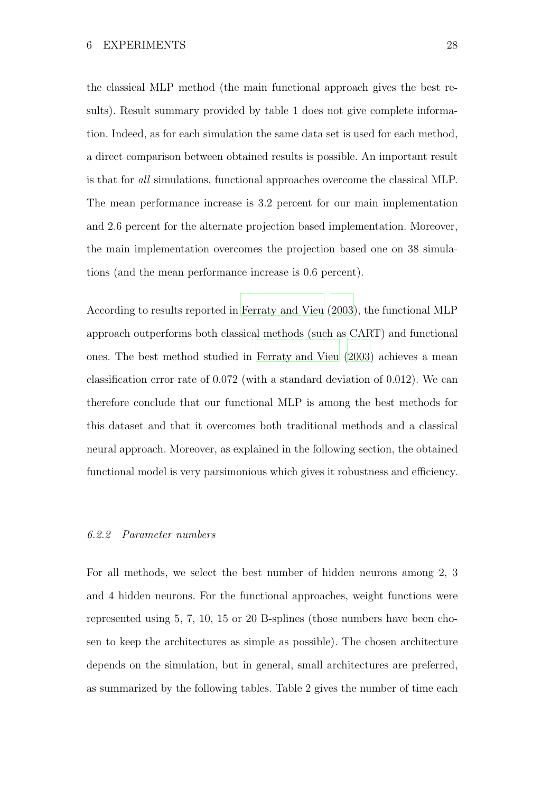the classical MLP method (the main functional approach gives the best results). Result summary provided by table 1 does not give complete information. Indeed, as for each simulation the same data set is used for each method, a direct comparison between obtained results is possible. An important result is that for all simulations, functional approaches overcome the classical MLP. The mean performance increase is 3.2 percent for our main implementation and 2.6 percent for the alternate projection based implementation. Moreover, the main implementation overcomes the projection based one on 38 simulations (and the mean performance increase is 0.6 percent).

According to results reported in [Ferraty and Vieu \(2003\)](#page-51-5), the functional MLP approach outperforms both classical methods (such as CART) and functional ones. The best method studied in [Ferraty and Vieu \(2003](#page-51-5)) achieves a mean classification error rate of 0.072 (with a standard deviation of 0.012). We can therefore conclude that our functional MLP is among the best methods for this dataset and that it overcomes both traditional methods and a classical neural approach. Moreover, as explained in the following section, the obtained functional model is very parsimonious which gives it robustness and efficiency.

#### 6.2.2 Parameter numbers

For all methods, we select the best number of hidden neurons among 2, 3 and 4 hidden neurons. For the functional approaches, weight functions were represented using 5, 7, 10, 15 or 20 B-splines (those numbers have been chosen to keep the architectures as simple as possible). The chosen architecture depends on the simulation, but in general, small architectures are preferred, as summarized by the following tables. Table 2 gives the number of time each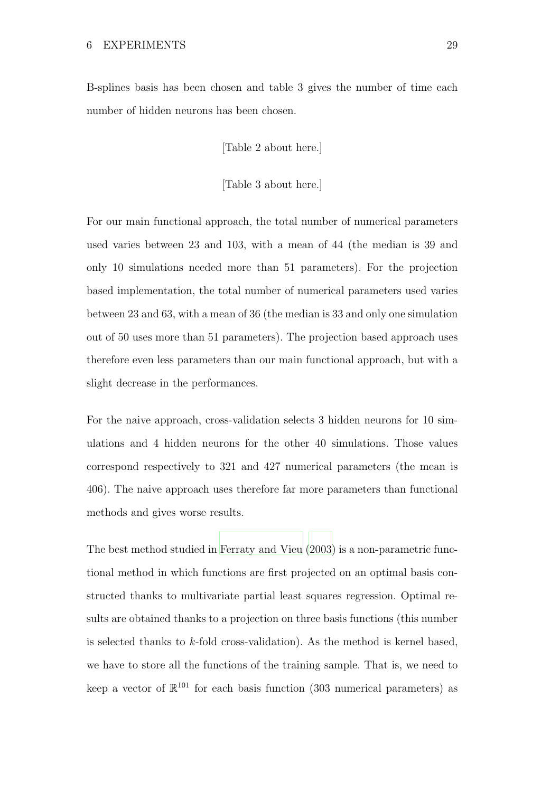B-splines basis has been chosen and table 3 gives the number of time each number of hidden neurons has been chosen.

[Table 2 about here.]

[Table 3 about here.]

For our main functional approach, the total number of numerical parameters used varies between 23 and 103, with a mean of 44 (the median is 39 and only 10 simulations needed more than 51 parameters). For the projection based implementation, the total number of numerical parameters used varies between 23 and 63, with a mean of 36 (the median is 33 and only one simulation out of 50 uses more than 51 parameters). The projection based approach uses therefore even less parameters than our main functional approach, but with a slight decrease in the performances.

For the naive approach, cross-validation selects 3 hidden neurons for 10 simulations and 4 hidden neurons for the other 40 simulations. Those values correspond respectively to 321 and 427 numerical parameters (the mean is 406). The naive approach uses therefore far more parameters than functional methods and gives worse results.

The best method studied in [Ferraty and Vieu \(2003](#page-51-5)) is a non-parametric functional method in which functions are first projected on an optimal basis constructed thanks to multivariate partial least squares regression. Optimal results are obtained thanks to a projection on three basis functions (this number is selected thanks to  $k$ -fold cross-validation). As the method is kernel based, we have to store all the functions of the training sample. That is, we need to keep a vector of  $\mathbb{R}^{101}$  for each basis function (303 numerical parameters) as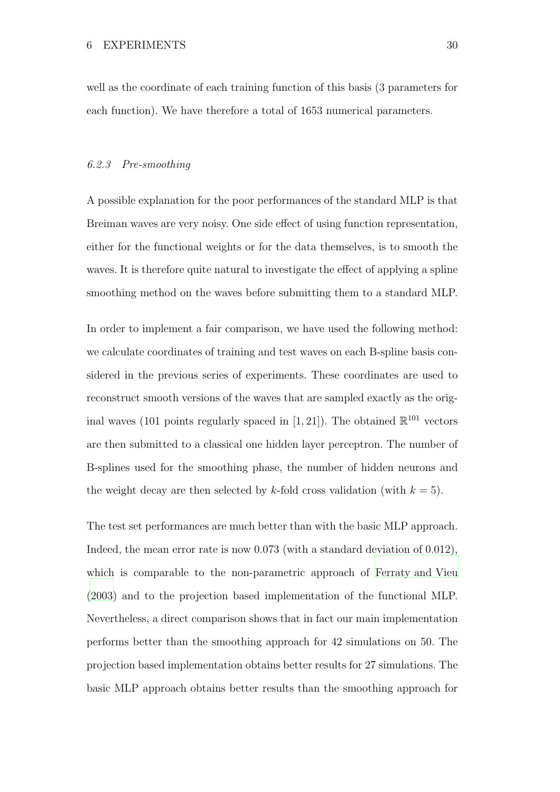well as the coordinate of each training function of this basis (3 parameters for each function). We have therefore a total of 1653 numerical parameters.

#### 6.2.3 Pre-smoothing

A possible explanation for the poor performances of the standard MLP is that Breiman waves are very noisy. One side effect of using function representation, either for the functional weights or for the data themselves, is to smooth the waves. It is therefore quite natural to investigate the effect of applying a spline smoothing method on the waves before submitting them to a standard MLP.

In order to implement a fair comparison, we have used the following method: we calculate coordinates of training and test waves on each B-spline basis considered in the previous series of experiments. These coordinates are used to reconstruct smooth versions of the waves that are sampled exactly as the original waves (101 points regularly spaced in [1, 21]). The obtained  $\mathbb{R}^{101}$  vectors are then submitted to a classical one hidden layer perceptron. The number of B-splines used for the smoothing phase, the number of hidden neurons and the weight decay are then selected by k-fold cross validation (with  $k = 5$ ).

The test set performances are much better than with the basic MLP approach. Indeed, the mean error rate is now 0.073 (with a standard deviation of 0.012), which is comparable to the non-parametric approach of [Ferraty and Vieu](#page-51-5) [\(2003\)](#page-51-5) and to the projection based implementation of the functional MLP. Nevertheless, a direct comparison shows that in fact our main implementation performs better than the smoothing approach for 42 simulations on 50. The projection based implementation obtains better results for 27 simulations. The basic MLP approach obtains better results than the smoothing approach for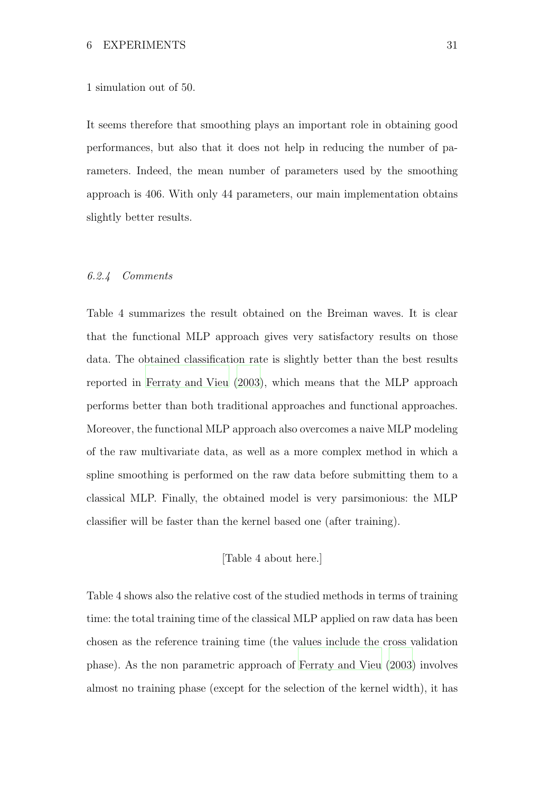#### 1 simulation out of 50.

It seems therefore that smoothing plays an important role in obtaining good performances, but also that it does not help in reducing the number of parameters. Indeed, the mean number of parameters used by the smoothing approach is 406. With only 44 parameters, our main implementation obtains slightly better results.

#### 6.2.4 Comments

Table 4 summarizes the result obtained on the Breiman waves. It is clear that the functional MLP approach gives very satisfactory results on those data. The obtained classification rate is slightly better than the best results reported in [Ferraty and Vieu](#page-51-5) [\(2003](#page-51-5)), which means that the MLP approach performs better than both traditional approaches and functional approaches. Moreover, the functional MLP approach also overcomes a naive MLP modeling of the raw multivariate data, as well as a more complex method in which a spline smoothing is performed on the raw data before submitting them to a classical MLP. Finally, the obtained model is very parsimonious: the MLP classifier will be faster than the kernel based one (after training).

[Table 4 about here.]

Table 4 shows also the relative cost of the studied methods in terms of training time: the total training time of the classical MLP applied on raw data has been chosen as the reference training time (the values include the cross validation phase). As the non parametric approach of [Ferraty and Vieu \(2003\)](#page-51-5) involves almost no training phase (except for the selection of the kernel width), it has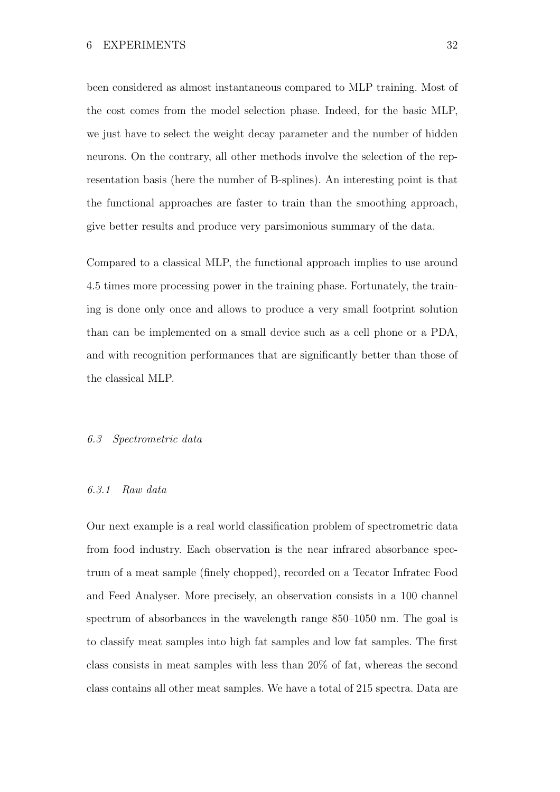been considered as almost instantaneous compared to MLP training. Most of the cost comes from the model selection phase. Indeed, for the basic MLP, we just have to select the weight decay parameter and the number of hidden neurons. On the contrary, all other methods involve the selection of the representation basis (here the number of B-splines). An interesting point is that the functional approaches are faster to train than the smoothing approach, give better results and produce very parsimonious summary of the data.

Compared to a classical MLP, the functional approach implies to use around 4.5 times more processing power in the training phase. Fortunately, the training is done only once and allows to produce a very small footprint solution than can be implemented on a small device such as a cell phone or a PDA, and with recognition performances that are significantly better than those of the classical MLP.

# 6.3 Spectrometric data

# 6.3.1 Raw data

Our next example is a real world classification problem of spectrometric data from food industry. Each observation is the near infrared absorbance spectrum of a meat sample (finely chopped), recorded on a Tecator Infratec Food and Feed Analyser. More precisely, an observation consists in a 100 channel spectrum of absorbances in the wavelength range 850–1050 nm. The goal is to classify meat samples into high fat samples and low fat samples. The first class consists in meat samples with less than 20% of fat, whereas the second class contains all other meat samples. We have a total of 215 spectra. Data are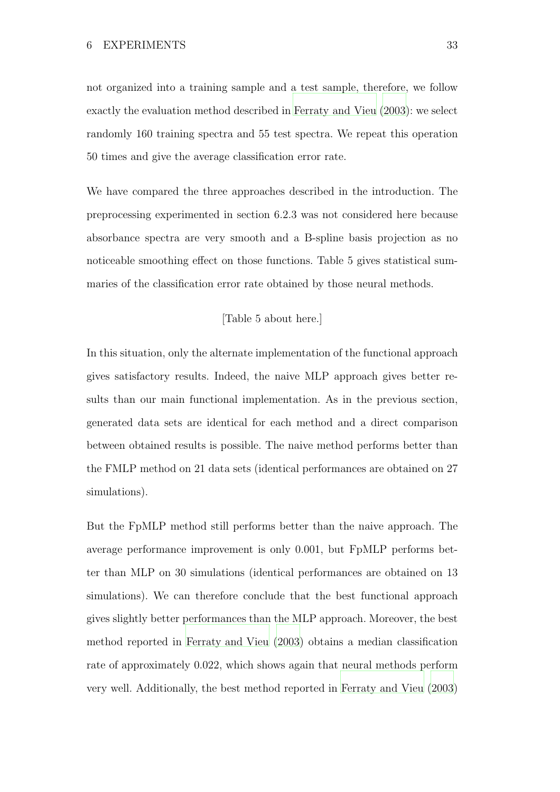not organized into a training sample and a test sample, therefore, we follow exactly the evaluation method described in [Ferraty and Vieu](#page-51-5) [\(2003\)](#page-51-5): we select randomly 160 training spectra and 55 test spectra. We repeat this operation 50 times and give the average classification error rate.

We have compared the three approaches described in the introduction. The preprocessing experimented in section 6.2.3 was not considered here because absorbance spectra are very smooth and a B-spline basis projection as no noticeable smoothing effect on those functions. Table 5 gives statistical summaries of the classification error rate obtained by those neural methods.

# [Table 5 about here.]

In this situation, only the alternate implementation of the functional approach gives satisfactory results. Indeed, the naive MLP approach gives better results than our main functional implementation. As in the previous section, generated data sets are identical for each method and a direct comparison between obtained results is possible. The naive method performs better than the FMLP method on 21 data sets (identical performances are obtained on 27 simulations).

But the FpMLP method still performs better than the naive approach. The average performance improvement is only 0.001, but FpMLP performs better than MLP on 30 simulations (identical performances are obtained on 13 simulations). We can therefore conclude that the best functional approach gives slightly better performances than the MLP approach. Moreover, the best method reported in [Ferraty and Vieu \(2003](#page-51-5)) obtains a median classification rate of approximately 0.022, which shows again that neural methods perform very well. Additionally, the best method reported in [Ferraty and Vieu \(2003\)](#page-51-5)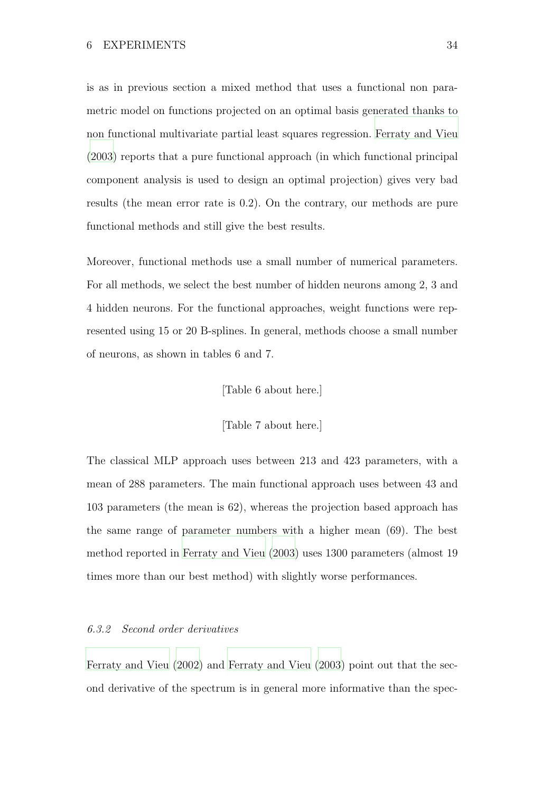is as in previous section a mixed method that uses a functional non parametric model on functions projected on an optimal basis generated thanks to non functional multivariate partial least squares regression. [Ferraty and Vieu](#page-51-5) [\(2003\)](#page-51-5) reports that a pure functional approach (in which functional principal component analysis is used to design an optimal projection) gives very bad results (the mean error rate is 0.2). On the contrary, our methods are pure functional methods and still give the best results.

Moreover, functional methods use a small number of numerical parameters. For all methods, we select the best number of hidden neurons among 2, 3 and 4 hidden neurons. For the functional approaches, weight functions were represented using 15 or 20 B-splines. In general, methods choose a small number of neurons, as shown in tables 6 and 7.

#### [Table 6 about here.]

[Table 7 about here.]

The classical MLP approach uses between 213 and 423 parameters, with a mean of 288 parameters. The main functional approach uses between 43 and 103 parameters (the mean is 62), whereas the projection based approach has the same range of parameter numbers with a higher mean (69). The best method reported in [Ferraty and Vieu \(2003](#page-51-5)) uses 1300 parameters (almost 19 times more than our best method) with slightly worse performances.

#### 6.3.2 Second order derivatives

[Ferraty and Vieu \(2002](#page-51-4)) and [Ferraty and Vieu \(2003](#page-51-5)) point out that the second derivative of the spectrum is in general more informative than the spec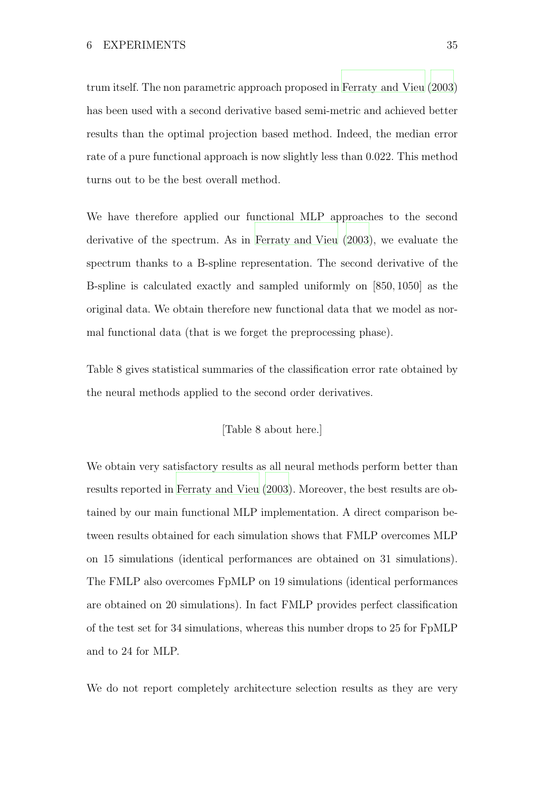trum itself. The non parametric approach proposed in [Ferraty and Vieu \(2003\)](#page-51-5) has been used with a second derivative based semi-metric and achieved better results than the optimal projection based method. Indeed, the median error rate of a pure functional approach is now slightly less than 0.022. This method turns out to be the best overall method.

We have therefore applied our functional MLP approaches to the second derivative of the spectrum. As in [Ferraty and Vieu](#page-51-5) [\(2003\)](#page-51-5), we evaluate the spectrum thanks to a B-spline representation. The second derivative of the B-spline is calculated exactly and sampled uniformly on [850, 1050] as the original data. We obtain therefore new functional data that we model as normal functional data (that is we forget the preprocessing phase).

Table 8 gives statistical summaries of the classification error rate obtained by the neural methods applied to the second order derivatives.

# [Table 8 about here.]

We obtain very satisfactory results as all neural methods perform better than results reported in [Ferraty and Vieu \(2003](#page-51-5)). Moreover, the best results are obtained by our main functional MLP implementation. A direct comparison between results obtained for each simulation shows that FMLP overcomes MLP on 15 simulations (identical performances are obtained on 31 simulations). The FMLP also overcomes FpMLP on 19 simulations (identical performances are obtained on 20 simulations). In fact FMLP provides perfect classification of the test set for 34 simulations, whereas this number drops to 25 for FpMLP and to 24 for MLP.

We do not report completely architecture selection results as they are very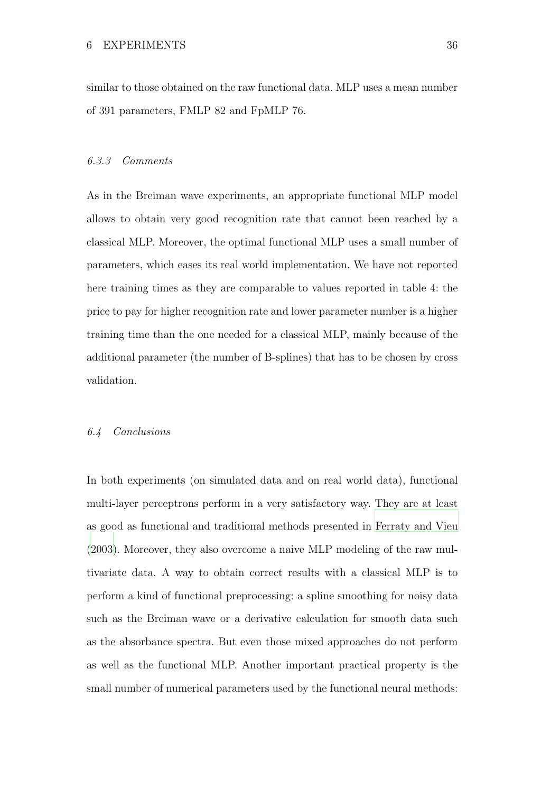similar to those obtained on the raw functional data. MLP uses a mean number of 391 parameters, FMLP 82 and FpMLP 76.

#### 6.3.3 Comments

As in the Breiman wave experiments, an appropriate functional MLP model allows to obtain very good recognition rate that cannot been reached by a classical MLP. Moreover, the optimal functional MLP uses a small number of parameters, which eases its real world implementation. We have not reported here training times as they are comparable to values reported in table 4: the price to pay for higher recognition rate and lower parameter number is a higher training time than the one needed for a classical MLP, mainly because of the additional parameter (the number of B-splines) that has to be chosen by cross validation.

#### 6.4 Conclusions

In both experiments (on simulated data and on real world data), functional multi-layer perceptrons perform in a very satisfactory way. They are at least as good as functional and traditional methods presented in [Ferraty and Vieu](#page-51-5) [\(2003\)](#page-51-5). Moreover, they also overcome a naive MLP modeling of the raw multivariate data. A way to obtain correct results with a classical MLP is to perform a kind of functional preprocessing: a spline smoothing for noisy data such as the Breiman wave or a derivative calculation for smooth data such as the absorbance spectra. But even those mixed approaches do not perform as well as the functional MLP. Another important practical property is the small number of numerical parameters used by the functional neural methods: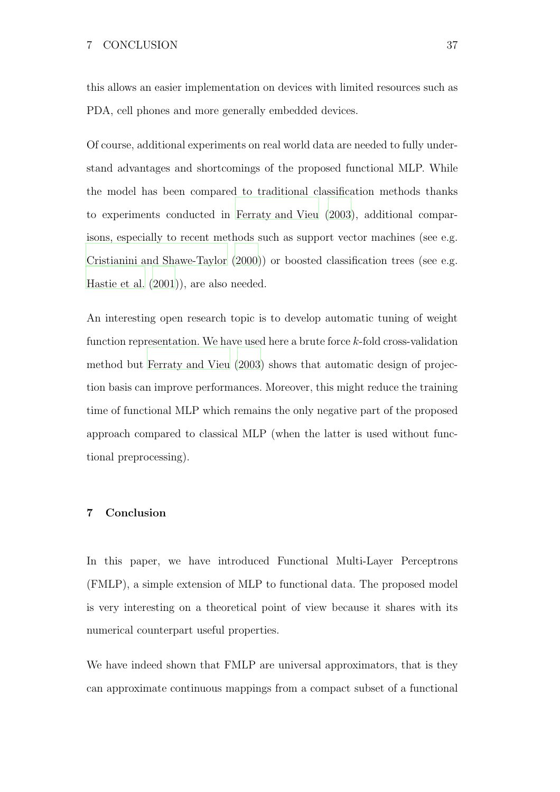this allows an easier implementation on devices with limited resources such as PDA, cell phones and more generally embedded devices.

Of course, additional experiments on real world data are needed to fully understand advantages and shortcomings of the proposed functional MLP. While the model has been compared to traditional classification methods thanks to experiments conducted in [Ferraty and Vieu](#page-51-5) [\(2003](#page-51-5)), additional comparisons, especially to recent methods such as support vector machines (see e.g. [Cristianini and Shawe-Taylor \(2000\)](#page-51-10)) or boosted classification trees (see e.g. [Hastie et al.](#page-51-11) [\(2001\)](#page-51-11)), are also needed.

An interesting open research topic is to develop automatic tuning of weight function representation. We have used here a brute force  $k$ -fold cross-validation method but [Ferraty and Vieu \(2003\)](#page-51-5) shows that automatic design of projection basis can improve performances. Moreover, this might reduce the training time of functional MLP which remains the only negative part of the proposed approach compared to classical MLP (when the latter is used without functional preprocessing).

# 7 Conclusion

In this paper, we have introduced Functional Multi-Layer Perceptrons (FMLP), a simple extension of MLP to functional data. The proposed model is very interesting on a theoretical point of view because it shares with its numerical counterpart useful properties.

We have indeed shown that FMLP are universal approximators, that is they can approximate continuous mappings from a compact subset of a functional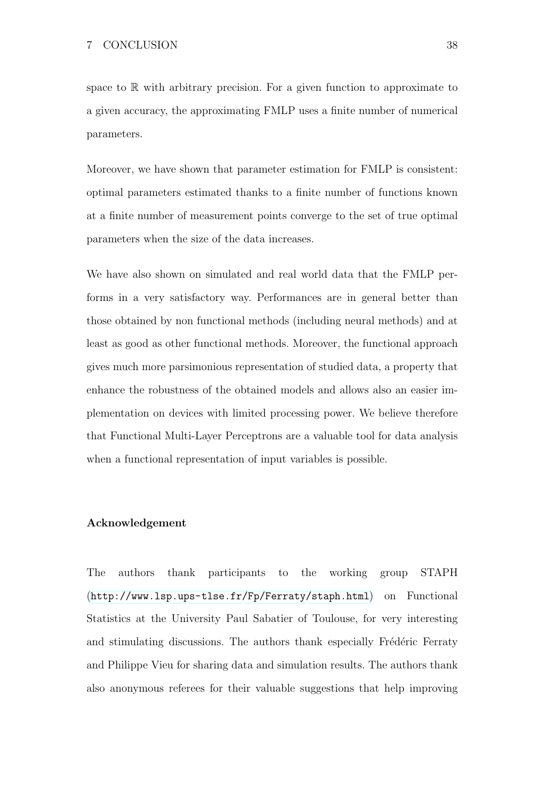space to  $\mathbb R$  with arbitrary precision. For a given function to approximate to a given accuracy, the approximating FMLP uses a finite number of numerical parameters.

Moreover, we have shown that parameter estimation for FMLP is consistent: optimal parameters estimated thanks to a finite number of functions known at a finite number of measurement points converge to the set of true optimal parameters when the size of the data increases.

We have also shown on simulated and real world data that the FMLP performs in a very satisfactory way. Performances are in general better than those obtained by non functional methods (including neural methods) and at least as good as other functional methods. Moreover, the functional approach gives much more parsimonious representation of studied data, a property that enhance the robustness of the obtained models and allows also an easier implementation on devices with limited processing power. We believe therefore that Functional Multi-Layer Perceptrons are a valuable tool for data analysis when a functional representation of input variables is possible.

# Acknowledgement

The authors thank participants to the working group STAPH (<http://www.lsp.ups-tlse.fr/Fp/Ferraty/staph.html>) on Functional Statistics at the University Paul Sabatier of Toulouse, for very interesting and stimulating discussions. The authors thank especially Frédéric Ferraty and Philippe Vieu for sharing data and simulation results. The authors thank also anonymous referees for their valuable suggestions that help improving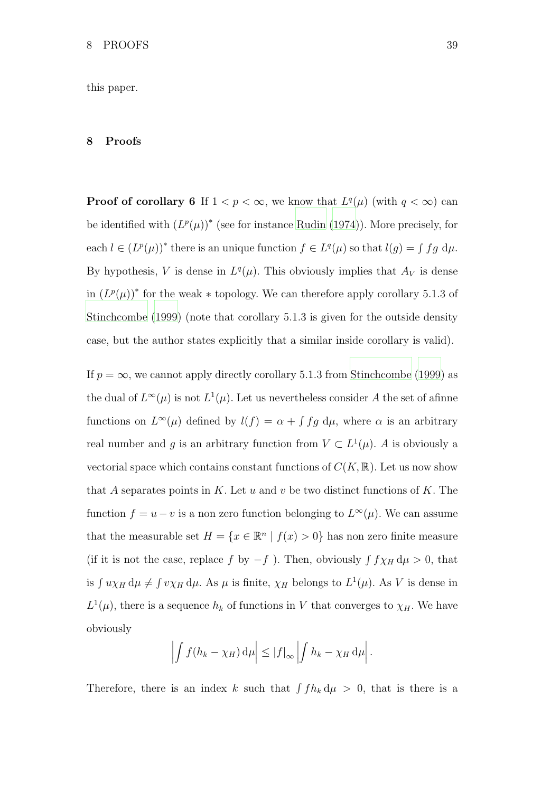this paper.

# 8 Proofs

**Proof of corollary 6** If  $1 < p < \infty$ , we know that  $L^q(\mu)$  (with  $q < \infty$ ) can be identified with  $(L^p(\mu))^*$  (see for instance [Rudin \(1974\)](#page-52-8)). More precisely, for each  $l \in (L^p(\mu))^*$  there is an unique function  $f \in L^q(\mu)$  so that  $l(g) = \int fg \, d\mu$ . By hypothesis, V is dense in  $L^q(\mu)$ . This obviously implies that  $A_V$  is dense in  $(L^p(\mu))^*$  for the weak  $*$  topology. We can therefore apply corollary 5.1.3 of [Stinchcombe \(1999](#page-52-3)) (note that corollary 5.1.3 is given for the outside density case, but the author states explicitly that a similar inside corollary is valid).

If  $p = \infty$ , we cannot apply directly corollary 5.1.3 from [Stinchcombe](#page-52-3) [\(1999](#page-52-3)) as the dual of  $L^{\infty}(\mu)$  is not  $L^{1}(\mu)$ . Let us nevertheless consider A the set of afinne functions on  $L^{\infty}(\mu)$  defined by  $l(f) = \alpha + \int fg \, d\mu$ , where  $\alpha$  is an arbitrary real number and g is an arbitrary function from  $V \subset L^1(\mu)$ . A is obviously a vectorial space which contains constant functions of  $C(K, \mathbb{R})$ . Let us now show that A separates points in K. Let u and v be two distinct functions of K. The function  $f = u - v$  is a non zero function belonging to  $L^{\infty}(\mu)$ . We can assume that the measurable set  $H = \{x \in \mathbb{R}^n \mid f(x) > 0\}$  has non zero finite measure (if it is not the case, replace f by  $-f$ ). Then, obviously  $\int f \chi_H d\mu > 0$ , that is  $\int u\chi_H d\mu \neq \int v\chi_H d\mu$ . As  $\mu$  is finite,  $\chi_H$  belongs to  $L^1(\mu)$ . As V is dense in  $L^1(\mu)$ , there is a sequence  $h_k$  of functions in V that converges to  $\chi_H$ . We have obviously

$$
\left| \int f(h_k - \chi_H) \, \mathrm{d}\mu \right| \leq \left| f \right|_{\infty} \left| \int h_k - \chi_H \, \mathrm{d}\mu \right|.
$$

Therefore, there is an index k such that  $\int fh_k d\mu > 0$ , that is there is a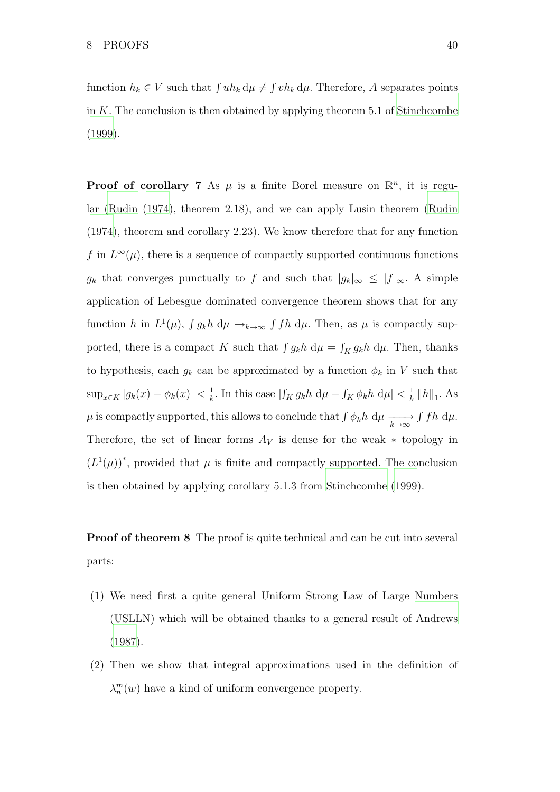function  $h_k \in V$  such that  $\int uh_k \, d\mu \neq \int vh_k \, d\mu$ . Therefore, A separates points in  $K$ . The conclusion is then obtained by applying theorem 5.1 of [Stinchcombe](#page-52-3) [\(1999\)](#page-52-3).

**Proof of corollary 7** As  $\mu$  is a finite Borel measure on  $\mathbb{R}^n$ , it is regular [\(Rudin \(1974](#page-52-8)), theorem 2.18), and we can apply Lusin theorem [\(Rudin](#page-52-8) [\(1974\)](#page-52-8), theorem and corollary 2.23). We know therefore that for any function f in  $L^{\infty}(\mu)$ , there is a sequence of compactly supported continuous functions  $g_k$  that converges punctually to f and such that  $|g_k|_{\infty} \leq |f|_{\infty}$ . A simple application of Lebesgue dominated convergence theorem shows that for any function h in  $L^1(\mu)$ ,  $\int g_k h \, d\mu \rightarrow_{k \to \infty} \int f h \, d\mu$ . Then, as  $\mu$  is compactly supported, there is a compact K such that  $\int g_k h \, d\mu = \int_K g_k h \, d\mu$ . Then, thanks to hypothesis, each  $g_k$  can be approximated by a function  $\phi_k$  in V such that  $\sup_{x \in K} |g_k(x) - \phi_k(x)| < \frac{1}{k}$  $\frac{1}{k}$ . In this case  $|\int_K g_k h \, d\mu - \int_K \phi_k h \, d\mu| < \frac{1}{k}$  $\frac{1}{k}$   $\left\|h\right\|_1$ . As  $\mu$  is compactly supported, this allows to conclude that  $\int \phi_k h \ d\mu \xrightarrow[k \to \infty]{} \int f h \ d\mu$ . Therefore, the set of linear forms  $A_V$  is dense for the weak  $*$  topology in  $(L^1(\mu))^*$ , provided that  $\mu$  is finite and compactly supported. The conclusion is then obtained by applying corollary 5.1.3 from [Stinchcombe \(1999](#page-52-3)).

**Proof of theorem 8** The proof is quite technical and can be cut into several parts:

- (1) We need first a quite general Uniform Strong Law of Large Numbers (USLLN) which will be obtained thanks to a general result of [Andrews](#page-50-9) [\(1987\)](#page-50-9).
- (2) Then we show that integral approximations used in the definition of  $\lambda_n^m(w)$  have a kind of uniform convergence property.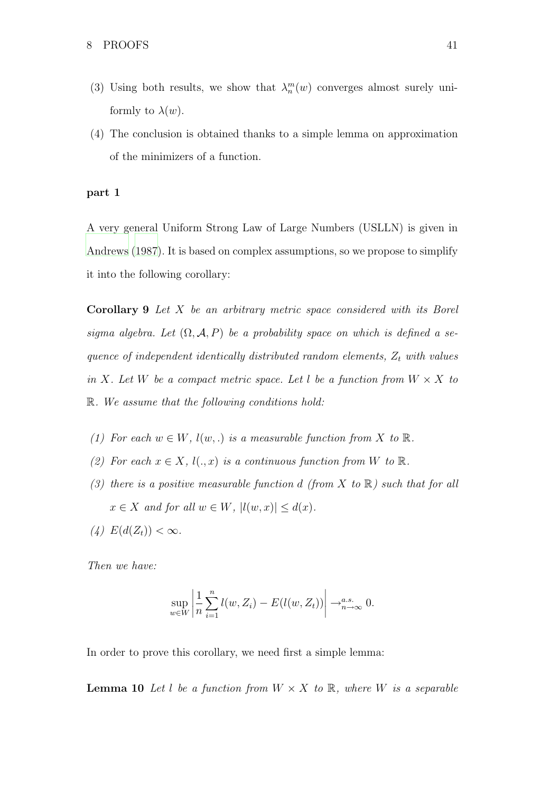- (3) Using both results, we show that  $\lambda_n^m(w)$  converges almost surely uniformly to  $\lambda(w)$ .
- (4) The conclusion is obtained thanks to a simple lemma on approximation of the minimizers of a function.

# part 1

A very general Uniform Strong Law of Large Numbers (USLLN) is given in [Andrews \(1987](#page-50-9)). It is based on complex assumptions, so we propose to simplify it into the following corollary:

Corollary 9 Let X be an arbitrary metric space considered with its Borel sigma algebra. Let  $(\Omega, \mathcal{A}, P)$  be a probability space on which is defined a sequence of independent identically distributed random elements,  $Z_t$  with values in X. Let W be a compact metric space. Let l be a function from  $W \times X$  to R. We assume that the following conditions hold:

- (1) For each  $w \in W$ ,  $l(w,.)$  is a measurable function from X to  $\mathbb R$ .
- (2) For each  $x \in X$ ,  $l(.,x)$  is a continuous function from W to  $\mathbb{R}$ .
- (3) there is a positive measurable function d (from X to  $\mathbb R$ ) such that for all  $x \in X$  and for all  $w \in W$ ,  $|l(w, x)| \leq d(x)$ .
- (4)  $E(d(Z_t)) < \infty$ .

Then we have:

$$
\sup_{w \in W} \left| \frac{1}{n} \sum_{i=1}^{n} l(w, Z_i) - E(l(w, Z_t)) \right| \to_{n \to \infty}^{a.s.} 0.
$$

In order to prove this corollary, we need first a simple lemma:

**Lemma 10** Let l be a function from  $W \times X$  to  $\mathbb{R}$ , where W is a separable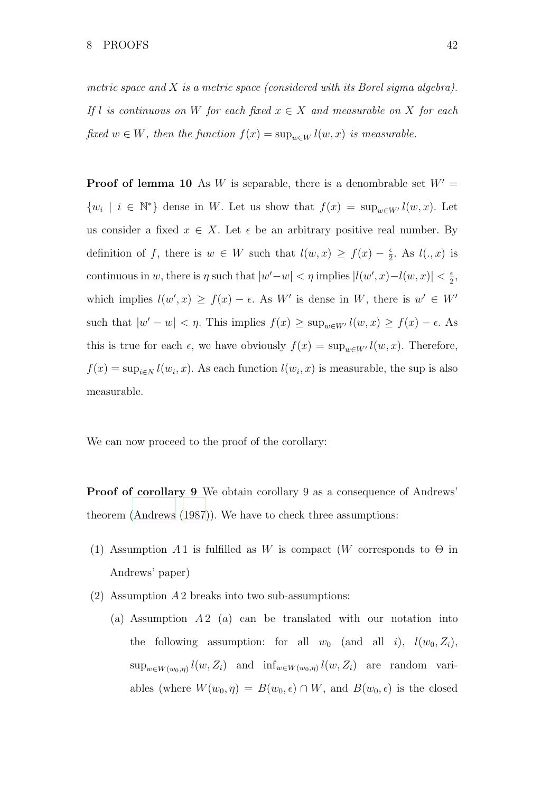metric space and  $X$  is a metric space (considered with its Borel sigma algebra). If l is continuous on W for each fixed  $x \in X$  and measurable on X for each fixed  $w \in W$ , then the function  $f(x) = \sup_{w \in W} l(w, x)$  is measurable.

**Proof of lemma 10** As W is separable, there is a denombrable set  $W' =$  $\{w_i \mid i \in \mathbb{N}^*\}$  dense in W. Let us show that  $f(x) = \sup_{w \in W'} l(w, x)$ . Let us consider a fixed  $x \in X$ . Let  $\epsilon$  be an arbitrary positive real number. By definition of f, there is  $w \in W$  such that  $l(w, x) \ge f(x) - \frac{\epsilon}{2}$  $\frac{\epsilon}{2}$ . As  $l(.,x)$  is continuous in w, there is  $\eta$  such that  $|w'-w| < \eta$  implies  $|l(w',x)-l(w,x)| < \frac{\epsilon}{2}$  $\frac{\epsilon}{2}$ which implies  $l(w',x) \ge f(x) - \epsilon$ . As W' is dense in W, there is  $w' \in W'$ such that  $|w'-w| < \eta$ . This implies  $f(x) \ge \sup_{w \in W'} l(w,x) \ge f(x) - \epsilon$ . As this is true for each  $\epsilon$ , we have obviously  $f(x) = \sup_{w \in W'} l(w, x)$ . Therefore,  $f(x) = \sup_{i \in \mathbb{N}} l(w_i, x)$ . As each function  $l(w_i, x)$  is measurable, the sup is also measurable.

We can now proceed to the proof of the corollary:

Proof of corollary 9 We obtain corollary 9 as a consequence of Andrews' theorem [\(Andrews \(1987](#page-50-9))). We have to check three assumptions:

- (1) Assumption A 1 is fulfilled as W is compact (W corresponds to  $\Theta$  in Andrews' paper)
- $(2)$  Assumption A 2 breaks into two sub-assumptions:
	- (a) Assumption  $A_2$  (a) can be translated with our notation into the following assumption: for all  $w_0$  (and all i),  $l(w_0, Z_i)$ ,  $\sup_{w \in W(w_0, \eta)} l(w, Z_i)$  and  $\inf_{w \in W(w_0, \eta)} l(w, Z_i)$  are random variables (where  $W(w_0, \eta) = B(w_0, \epsilon) \cap W$ , and  $B(w_0, \epsilon)$  is the closed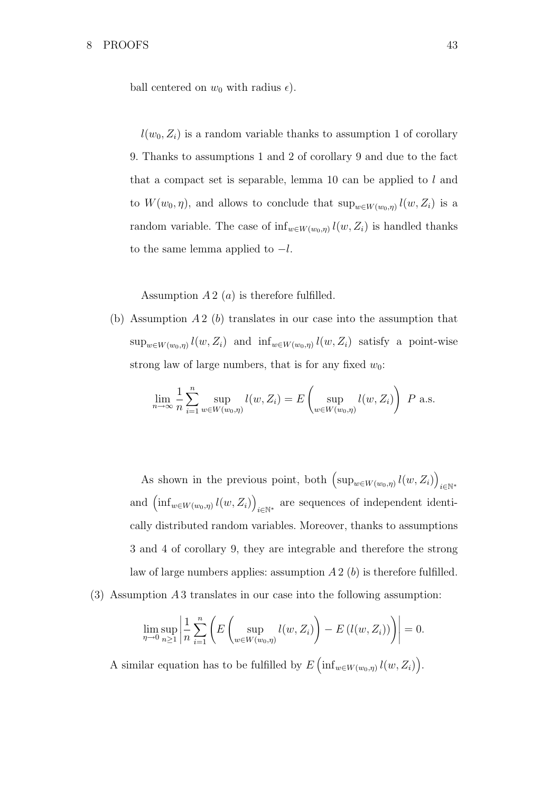ball centered on  $w_0$  with radius  $\epsilon$ ).

 $l(w_0, Z_i)$  is a random variable thanks to assumption 1 of corollary 9. Thanks to assumptions 1 and 2 of corollary 9 and due to the fact that a compact set is separable, lemma 10 can be applied to  $l$  and to  $W(w_0, \eta)$ , and allows to conclude that  $\sup_{w \in W(w_0, \eta)} l(w, Z_i)$  is a random variable. The case of  $\inf_{w \in W(w_0, \eta)} l(w, Z_i)$  is handled thanks to the same lemma applied to  $-l$ .

Assumption  $A2(a)$  is therefore fulfilled.

(b) Assumption  $A2$  (b) translates in our case into the assumption that  $\sup_{w\in W(w_0,\eta)} l(w,Z_i)$  and  $\inf_{w\in W(w_0,\eta)} l(w,Z_i)$  satisfy a point-wise strong law of large numbers, that is for any fixed  $w_0$ :

$$
\lim_{n \to \infty} \frac{1}{n} \sum_{i=1}^{n} \sup_{w \in W(w_0, \eta)} l(w, Z_i) = E \left( \sup_{w \in W(w_0, \eta)} l(w, Z_i) \right) P \text{ a.s.}
$$

As shown in the previous point, both  $(\sup_{w \in W(w_0, \eta)} l(w, Z_i))$ i∈N<sup>∗</sup> and  $\left(\inf_{w \in W(w_0, \eta)} l(w, Z_i)\right)$  $i\in\mathbb{N}^*$  are sequences of independent identically distributed random variables. Moreover, thanks to assumptions 3 and 4 of corollary 9, they are integrable and therefore the strong law of large numbers applies: assumption  $A2(b)$  is therefore fulfilled.

(3) Assumption A 3 translates in our case into the following assumption:

$$
\lim_{\eta \to 0} \sup_{n \ge 1} \left| \frac{1}{n} \sum_{i=1}^n \left( E \left( \sup_{w \in W(w_0, \eta)} l(w, Z_i) \right) - E \left( l(w, Z_i) \right) \right) \right| = 0.
$$

A similar equation has to be fulfilled by  $E\left(\inf_{w\in W(w_0,\eta)}l(w,Z_i)\right)$ .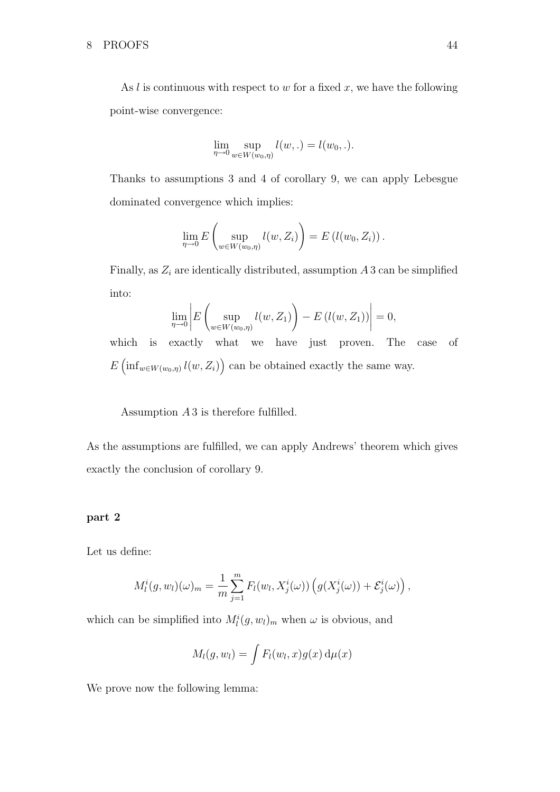As  $l$  is continuous with respect to  $w$  for a fixed  $x$ , we have the following point-wise convergence:

$$
\lim_{\eta \to 0} \sup_{w \in W(w_0, \eta)} l(w, .) = l(w_0, .).
$$

Thanks to assumptions 3 and 4 of corollary 9, we can apply Lebesgue dominated convergence which implies:

$$
\lim_{\eta \to 0} E\left(\sup_{w \in W(w_0,\eta)} l(w,Z_i)\right) = E\left(l(w_0,Z_i)\right).
$$

Finally, as  $Z_i$  are identically distributed, assumption A 3 can be simplified into:

$$
\lim_{\eta \to 0} \left| E\left(\sup_{w \in W(w_0, \eta)} l(w, Z_1)\right) - E\left(l(w, Z_1)\right) \right| = 0,
$$

which is exactly what we have just proven. The case of  $E\left(\inf_{w\in W(w_0,\eta)}l(w,Z_i)\right)$  can be obtained exactly the same way.

Assumption  $A_3$  is therefore fulfilled.

As the assumptions are fulfilled, we can apply Andrews' theorem which gives exactly the conclusion of corollary 9.

# part 2

Let us define:

$$
M_l^i(g, w_l)(\omega)_m = \frac{1}{m} \sum_{j=1}^m F_l(w_l, X_j^i(\omega)) \left( g(X_j^i(\omega)) + \mathcal{E}_j^i(\omega) \right),
$$

which can be simplified into  $M_l^i(g, w_l)_m$  when  $\omega$  is obvious, and

$$
M_l(g, w_l) = \int F_l(w_l, x) g(x) d\mu(x)
$$

We prove now the following lemma: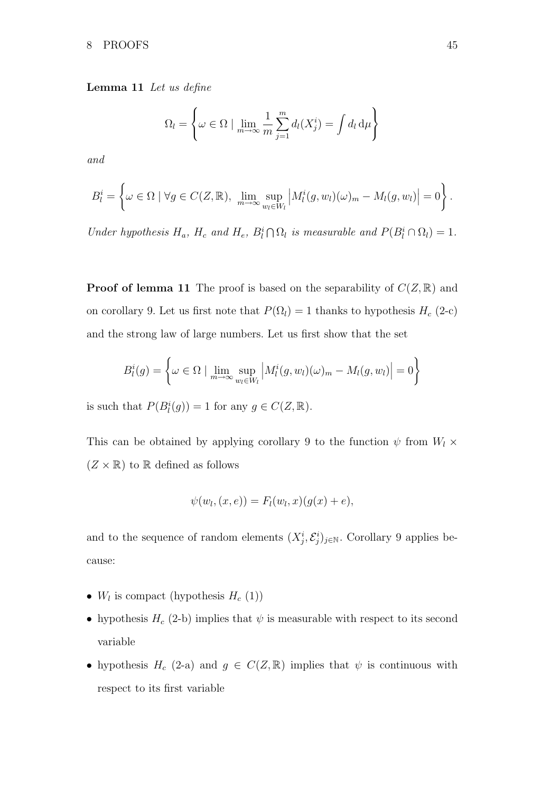Lemma 11 Let us define

$$
\Omega_l = \left\{ \omega \in \Omega \mid \lim_{m \to \infty} \frac{1}{m} \sum_{j=1}^m d_l(X_j^i) = \int d_l d\mu \right\}
$$

and

$$
B_l^i = \left\{ \omega \in \Omega \mid \forall g \in C(Z, \mathbb{R}), \lim_{m \to \infty} \sup_{w_l \in W_l} \left| M_l^i(g, w_l)(\omega)_m - M_l(g, w_l) \right| = 0 \right\}.
$$

Under hypothesis  $H_a$ ,  $H_c$  and  $H_e$ ,  $B_l^i \cap \Omega_l$  is measurable and  $P(B_l^i \cap \Omega_l) = 1$ .

**Proof of lemma 11** The proof is based on the separability of  $C(Z, \mathbb{R})$  and on corollary 9. Let us first note that  $P(\Omega_l) = 1$  thanks to hypothesis  $H_c$  (2-c) and the strong law of large numbers. Let us first show that the set

$$
B_l^i(g) = \left\{ \omega \in \Omega \mid \lim_{m \to \infty} \sup_{w_l \in W_l} \left| M_l^i(g, w_l)(\omega)_m - M_l(g, w_l) \right| = 0 \right\}
$$

is such that  $P(B_l^i(g)) = 1$  for any  $g \in C(Z, \mathbb{R})$ .

This can be obtained by applying corollary 9 to the function  $\psi$  from  $W_l \times$  $(Z \times \mathbb{R})$  to  $\mathbb R$  defined as follows

$$
\psi(w_l,(x,e))=F_l(w_l,x)(g(x)+e),
$$

and to the sequence of random elements  $(X_j^i, \mathcal{E}_j^i)_{j \in \mathbb{N}}$ . Corollary 9 applies because:

- $W_l$  is compact (hypothesis  $H_c(1)$ )
- hypothesis  $H_c$  (2-b) implies that  $\psi$  is measurable with respect to its second variable
- hypothesis  $H_c$  (2-a) and  $g \in C(Z, \mathbb{R})$  implies that  $\psi$  is continuous with respect to its first variable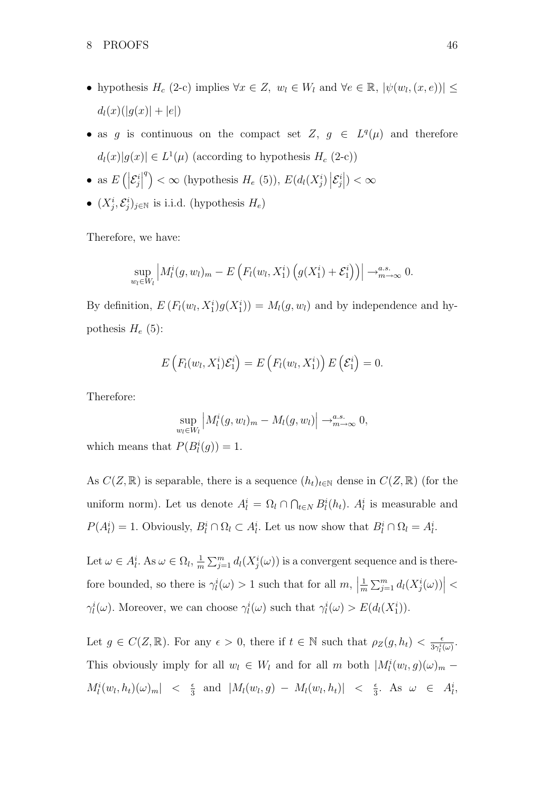- hypothesis  $H_c$  (2-c) implies  $\forall x \in Z, w_l \in W_l$  and  $\forall e \in \mathbb{R}, |\psi(w_l, (x, e))| \leq$  $d_l(x)(|g(x)| + |e|)$
- as g is continuous on the compact set  $Z, g \in L^q(\mu)$  and therefore  $d_l(x)|g(x)| \in L^1(\mu)$  (according to hypothesis  $H_c$  (2-c))
- as  $E\left(\left|\mathcal{E}_j^i\right|\right)$  <sup>q</sup>) <  $\infty$  (hypothesis  $H_e$  (5)),  $E(d_l(X_j^i))\Big|\mathcal{E}_j^i$  $\big|) < \infty$
- $(X_j^i, \mathcal{E}_j^i)_{j \in \mathbb{N}}$  is i.i.d. (hypothesis  $H_e$ )

Therefore, we have:

$$
\sup_{w_l \in W_l} \left| M_l^i(g, w_l)_m - E\left( F_l(w_l, X_1^i) \left( g(X_1^i) + \mathcal{E}_1^i \right) \right) \right| \to_{m \to \infty}^{a.s.} 0.
$$

By definition,  $E(F_l(w_l, X_1^i)g(X_1^i)) = M_l(g, w_l)$  and by independence and hypothesis  $H_e$  (5):

$$
E\left(F_l(w_l,X_1^i)\mathcal{E}_1^i\right)=E\left(F_l(w_l,X_1^i)\right)E\left(\mathcal{E}_1^i\right)=0.
$$

Therefore:

$$
\sup_{w_l \in W_l} \left| M_l^i(g, w_l)_m - M_l(g, w_l) \right| \to_{m \to \infty}^{a.s.} 0,
$$

which means that  $P(B_l^i(g)) = 1$ .

As  $C(Z, \mathbb{R})$  is separable, there is a sequence  $(h_t)_{t \in \mathbb{N}}$  dense in  $C(Z, \mathbb{R})$  (for the uniform norm). Let us denote  $A_l^i = \Omega_l \cap \bigcap_{t \in N} B_l^i(h_t)$ .  $A_l^i$  is measurable and  $P(A_l^i) = 1$ . Obviously,  $B_l^i \cap \Omega_l \subset A_l^i$ . Let us now show that  $B_l^i \cap \Omega_l = A_l^i$ .

Let  $\omega \in A_l^i$ . As  $\omega \in \Omega_l, \frac{1}{m}$  $\frac{1}{m}\sum_{j=1}^m d_l(X_j^i(\omega))$  is a convergent sequence and is therefore bounded, so there is  $\gamma_l^i(\omega) > 1$  such that for all  $m$ , 1  $\frac{1}{m}\sum_{j=1}^m d_l(X_j^i(\omega))\Big| <$  $\gamma_l^i(\omega)$ . Moreover, we can choose  $\gamma_l^i(\omega)$  such that  $\gamma_l^i(\omega) > E(d_l(X_1^i))$ .

Let  $g \in C(Z, \mathbb{R})$ . For any  $\epsilon > 0$ , there if  $t \in \mathbb{N}$  such that  $\rho_Z(g, h_t) < \frac{\epsilon}{3\gamma^i}$  $\frac{\epsilon}{3\gamma_{l}^{i}(\omega)}$ . This obviously imply for all  $w_l \in W_l$  and for all m both  $|M_l^i(w_l, g)(\omega)_m$  –  $M_l^i(w_l, h_t)(\omega)_m$  <  $\frac{\epsilon}{3}$  $\frac{\epsilon}{3}$  and  $|M_l(w_l, g) - M_l(w_l, h_t)| < \frac{\epsilon}{3}$  $\frac{\epsilon}{3}$ . As  $\omega \in A_{l}^{i}$ ,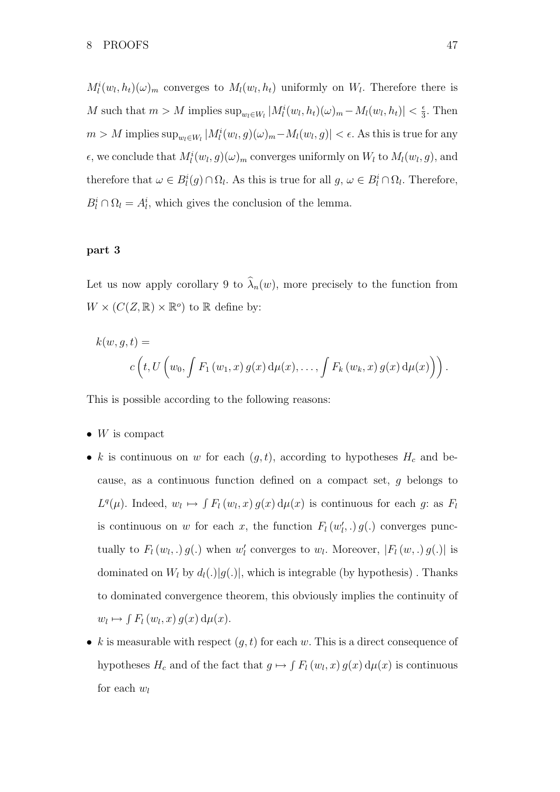$M_l^i(w_l, h_t)(\omega)_m$  converges to  $M_l(w_l, h_t)$  uniformly on  $W_l$ . Therefore there is M such that  $m > M$  implies  $\sup_{w_l \in W_l} |M_l^i(w_l, h_t)(\omega)_m - M_l(w_l, h_t)| < \frac{\epsilon}{3}$  $\frac{\epsilon}{3}$ . Then  $m > M$  implies  $\sup_{w_l \in W_l} |M_l^i(w_l, g)(\omega)_m - M_l(w_l, g)| < \epsilon$ . As this is true for any  $\epsilon$ , we conclude that  $M_l^i(w_l, g)(\omega)_m$  converges uniformly on  $W_l$  to  $M_l(w_l, g)$ , and therefore that  $\omega \in B_l^i(g) \cap \Omega_l$ . As this is true for all  $g, \omega \in B_l^i \cap \Omega_l$ . Therefore,  $B_l^i \cap \Omega_l = A_l^i$ , which gives the conclusion of the lemma.

# part 3

Let us now apply corollary 9 to  $\hat{\lambda}_n(w)$ , more precisely to the function from  $W \times (C(Z, \mathbb{R}) \times \mathbb{R}^o)$  to  $\mathbb R$  define by:

$$
k(w, g, t) =
$$
  

$$
c\left(t, U\left(w_0, \int F_1(w_1, x) g(x) d\mu(x), \dots, \int F_k(w_k, x) g(x) d\mu(x)\right)\right).
$$

This is possible according to the following reasons:

- $W$  is compact
- k is continuous on w for each  $(g, t)$ , according to hypotheses  $H_c$  and because, as a continuous function defined on a compact set, g belongs to  $L^q(\mu)$ . Indeed,  $w_l \mapsto \int F_l(w_l, x) g(x) d\mu(x)$  is continuous for each g: as  $F_l$ is continuous on w for each x, the function  $F_l(w'_l,.) g(.)$  converges punctually to  $F_l(w_l,.) g(.)$  when  $w'_l$  converges to  $w_l$ . Moreover,  $|F_l(w,.) g(.)|$  is dominated on  $W_l$  by  $d_l(.)|g(.)|$ , which is integrable (by hypothesis). Thanks to dominated convergence theorem, this obviously implies the continuity of  $w_l \mapsto \int F_l(w_l, x) g(x) d\mu(x).$
- k is measurable with respect  $(q, t)$  for each w. This is a direct consequence of hypotheses  $H_c$  and of the fact that  $g \mapsto \int F_l(w_l, x) g(x) d\mu(x)$  is continuous for each  $w_l$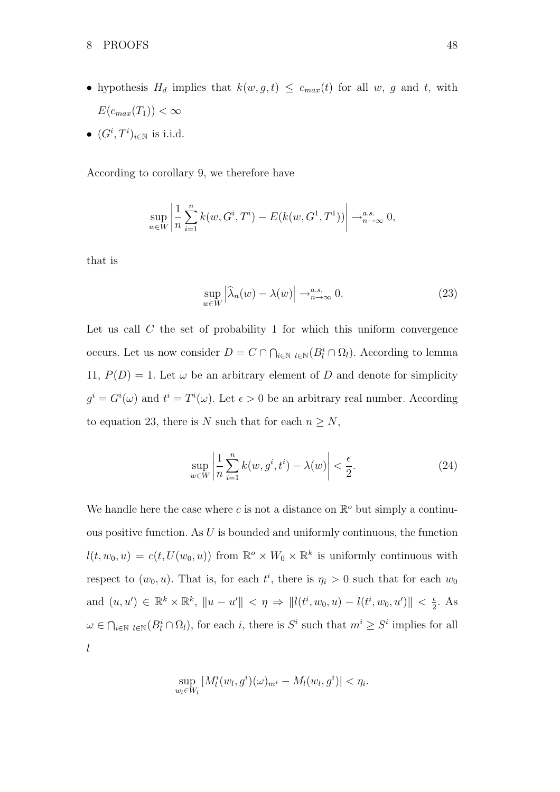- hypothesis  $H_d$  implies that  $k(w, g, t) \leq c_{max}(t)$  for all w, g and t, with  $E(c_{max}(T_1)) < \infty$
- $(G^i, T^i)_{i \in \mathbb{N}}$  is i.i.d.

According to corollary 9, we therefore have

$$
\sup_{w \in W} \left| \frac{1}{n} \sum_{i=1}^{n} k(w, G^i, T^i) - E(k(w, G^1, T^1)) \right| \to_{n \to \infty}^{a.s.} 0,
$$

that is

$$
\sup_{w \in W} \left| \widehat{\lambda}_n(w) - \lambda(w) \right| \to_{n \to \infty}^{a.s.} 0. \tag{23}
$$

Let us call  $C$  the set of probability 1 for which this uniform convergence occurs. Let us now consider  $D = C \cap \bigcap_{i \in \mathbb{N}} \iota_{i \in \mathbb{N}}(B_i^i \cap \Omega_i)$ . According to lemma 11,  $P(D) = 1$ . Let  $\omega$  be an arbitrary element of D and denote for simplicity  $g^i = G^i(\omega)$  and  $t^i = T^i(\omega)$ . Let  $\epsilon > 0$  be an arbitrary real number. According to equation 23, there is N such that for each  $n \geq N$ ,

$$
\sup_{w \in W} \left| \frac{1}{n} \sum_{i=1}^{n} k(w, g^i, t^i) - \lambda(w) \right| < \frac{\epsilon}{2}.\tag{24}
$$

We handle here the case where c is not a distance on  $\mathbb{R}^o$  but simply a continuous positive function. As  $U$  is bounded and uniformly continuous, the function  $l(t, w_0, u) = c(t, U(w_0, u))$  from  $\mathbb{R}^{\circ} \times W_0 \times \mathbb{R}^k$  is uniformly continuous with respect to  $(w_0, u)$ . That is, for each  $t^i$ , there is  $\eta_i > 0$  such that for each  $w_0$ and  $(u, u') \in \mathbb{R}^k \times \mathbb{R}^k$ ,  $||u - u'|| < \eta \Rightarrow ||l(t^i, w_0, u) - l(t^i, w_0, u')|| < \frac{\epsilon}{2}$  $\frac{\epsilon}{2}$ . As  $\omega \in \bigcap_{i \in \mathbb{N}} (B_i^i \cap \Omega_i)$ , for each i, there is  $S^i$  such that  $m^i \geq S^i$  implies for all l

$$
\sup_{w_l \in W_l} |M_l^i(w_l, g^i)(\omega)_{m^i} - M_l(w_l, g^i)| < \eta_i.
$$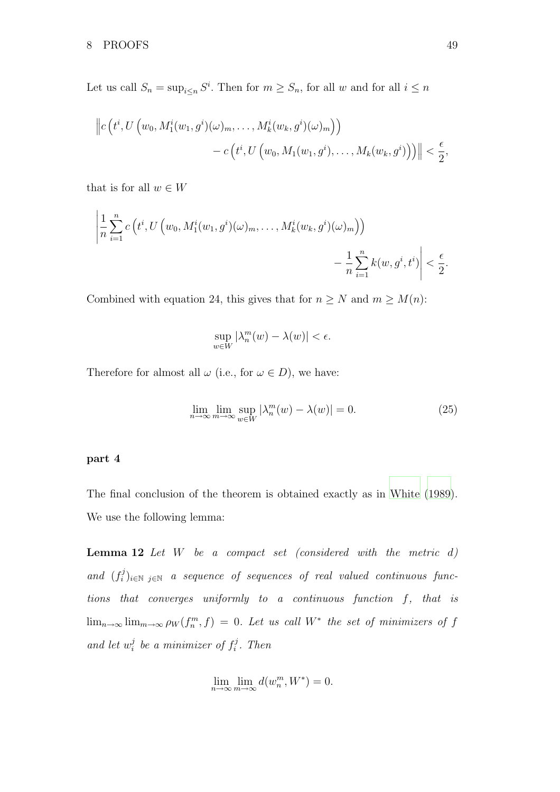Let us call  $S_n = \sup_{i \leq n} S^i$ . Then for  $m \geq S_n$ , for all w and for all  $i \leq n$ 

$$
\|c(t^i, U(w_0, M_1^i(w_1, g^i)(\omega)_m, \dots, M_k^i(w_k, g^i)(\omega)_m)\n)- c(t^i, U(w_0, M_1(w_1, g^i), \dots, M_k(w_k, g^i))\n)\| < \frac{\epsilon}{2},
$$

that is for all  $w \in W$ 

$$
\left|\frac{1}{n}\sum_{i=1}^n c\left(t^i, U\left(w_0, M_1^i(w_1, g^i)(\omega)_m, \dots, M_k^i(w_k, g^i)(\omega)_m\right)\right)\right|
$$
  

$$
-\frac{1}{n}\sum_{i=1}^n k(w, g^i, t^i)\right| < \frac{\epsilon}{2}.
$$

Combined with equation 24, this gives that for  $n \geq N$  and  $m \geq M(n)$ :

$$
\sup_{w \in W} |\lambda_n^m(w) - \lambda(w)| < \epsilon.
$$

Therefore for almost all  $\omega$  (i.e., for  $\omega \in D$ ), we have:

$$
\lim_{n \to \infty} \lim_{m \to \infty} \sup_{w \in W} |\lambda_n^m(w) - \lambda(w)| = 0.
$$
\n(25)

# part 4

The final conclusion of the theorem is obtained exactly as in [White \(1989\)](#page-52-4). We use the following lemma:

**Lemma 12** Let  $W$  be a compact set (considered with the metric  $d$ ) and  $(f_i^j)$  $\mathcal{E}_i^{(j)}|_{i\in\mathbb{N}}$  a sequence of sequences of real valued continuous functions that converges uniformly to a continuous function f, that is  $\lim_{n\to\infty} \lim_{m\to\infty} \rho_W(f_n^m, f) = 0$ . Let us call W<sup>\*</sup> the set of minimizers of f and let  $w_i^j$  $i$  be a minimizer of  $f_i^j$  $i<sup>j</sup>$ . Then

$$
\lim_{n \to \infty} \lim_{m \to \infty} d(w_n^m, W^*) = 0.
$$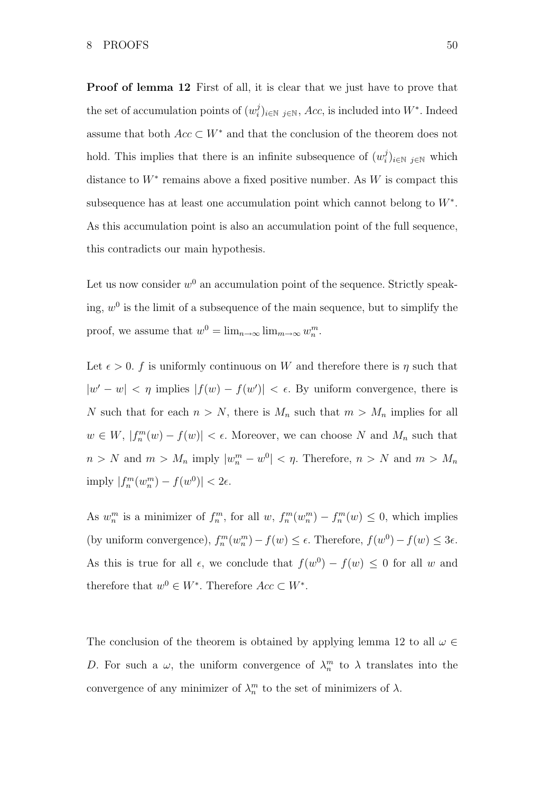Proof of lemma 12 First of all, it is clear that we just have to prove that the set of accumulation points of  $(w_i^j)$  $i,j_{i\in\mathbb{N}}$ ,  $Acc$ , is included into  $W^*$ . Indeed assume that both  $Acc \subset W^*$  and that the conclusion of the theorem does not hold. This implies that there is an infinite subsequence of  $(w_i^j)$  $\binom{j}{i}$ <sub>i∈N j∈N</sub> which distance to  $W^*$  remains above a fixed positive number. As W is compact this subsequence has at least one accumulation point which cannot belong to  $W^*$ . As this accumulation point is also an accumulation point of the full sequence, this contradicts our main hypothesis.

Let us now consider  $w^0$  an accumulation point of the sequence. Strictly speaking,  $w^0$  is the limit of a subsequence of the main sequence, but to simplify the proof, we assume that  $w^0 = \lim_{n \to \infty} \lim_{m \to \infty} w_n^m$ .

Let  $\epsilon > 0$ . f is uniformly continuous on W and therefore there is  $\eta$  such that  $|w'-w| < \eta$  implies  $|f(w) - f(w')| < \epsilon$ . By uniform convergence, there is N such that for each  $n > N$ , there is  $M_n$  such that  $m > M_n$  implies for all  $w \in W$ ,  $|f_n^m(w) - f(w)| < \epsilon$ . Moreover, we can choose N and  $M_n$  such that  $n > N$  and  $m > M_n$  imply  $|w_n^m - w^0| < \eta$ . Therefore,  $n > N$  and  $m > M_n$ imply  $|f_n^m(w_n^m) - f(w^0)| < 2\epsilon$ .

As  $w_n^m$  is a minimizer of  $f_n^m$ , for all  $w$ ,  $f_n^m(w_n^m) - f_n^m(w) \leq 0$ , which implies (by uniform convergence),  $f_n^m(w_n^m) - f(w) \leq \epsilon$ . Therefore,  $f(w^0) - f(w) \leq 3\epsilon$ . As this is true for all  $\epsilon$ , we conclude that  $f(w^0) - f(w) \leq 0$  for all w and therefore that  $w^0 \in W^*$ . Therefore  $Acc \subset W^*$ .

The conclusion of the theorem is obtained by applying lemma 12 to all  $\omega \in$ D. For such a  $\omega$ , the uniform convergence of  $\lambda_n^m$  to  $\lambda$  translates into the convergence of any minimizer of  $\lambda_n^m$  to the set of minimizers of  $\lambda$ .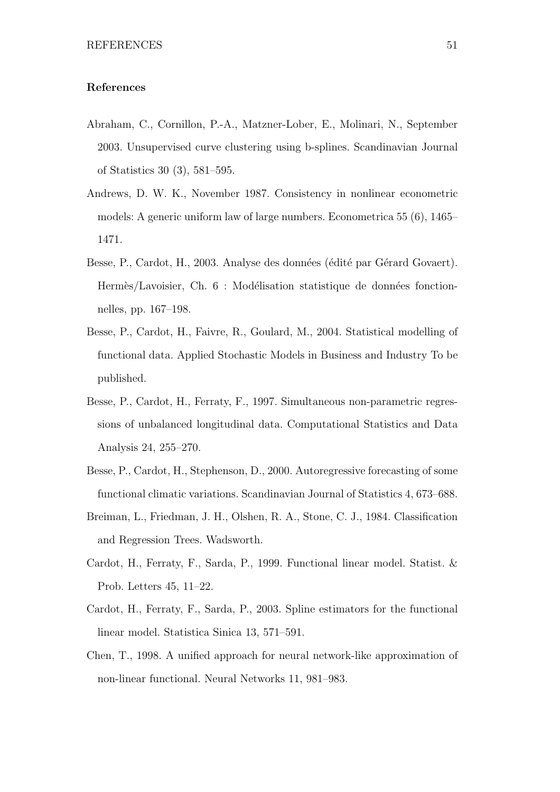# References

- <span id="page-50-1"></span>Abraham, C., Cornillon, P.-A., Matzner-Lober, E., Molinari, N., September 2003. Unsupervised curve clustering using b-splines. Scandinavian Journal of Statistics 30 (3), 581–595.
- <span id="page-50-9"></span>Andrews, D. W. K., November 1987. Consistency in nonlinear econometric models: A generic uniform law of large numbers. Econometrica 55 (6), 1465– 1471.
- <span id="page-50-6"></span>Besse, P., Cardot, H., 2003. Analyse des données (édité par Gérard Govaert). Hermès/Lavoisier, Ch. 6 : Modélisation statistique de données fonctionnelles, pp. 167–198.
- <span id="page-50-2"></span>Besse, P., Cardot, H., Faivre, R., Goulard, M., 2004. Statistical modelling of functional data. Applied Stochastic Models in Business and Industry To be published.
- <span id="page-50-7"></span>Besse, P., Cardot, H., Ferraty, F., 1997. Simultaneous non-parametric regressions of unbalanced longitudinal data. Computational Statistics and Data Analysis 24, 255–270.
- <span id="page-50-0"></span>Besse, P., Cardot, H., Stephenson, D., 2000. Autoregressive forecasting of some functional climatic variations. Scandinavian Journal of Statistics 4, 673–688.
- <span id="page-50-8"></span>Breiman, L., Friedman, J. H., Olshen, R. A., Stone, C. J., 1984. Classification and Regression Trees. Wadsworth.
- <span id="page-50-3"></span>Cardot, H., Ferraty, F., Sarda, P., 1999. Functional linear model. Statist. & Prob. Letters 45, 11–22.
- <span id="page-50-4"></span>Cardot, H., Ferraty, F., Sarda, P., 2003. Spline estimators for the functional linear model. Statistica Sinica 13, 571–591.
- <span id="page-50-5"></span>Chen, T., 1998. A unified approach for neural network-like approximation of non-linear functional. Neural Networks 11, 981–983.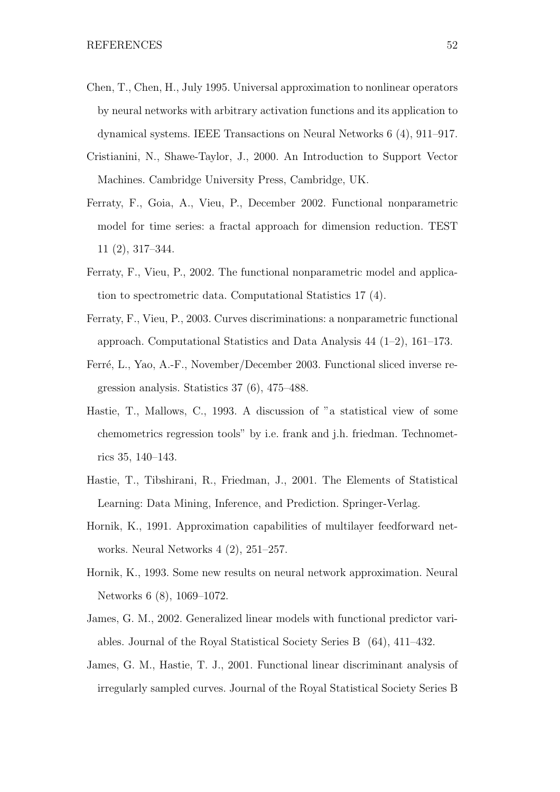- <span id="page-51-9"></span>Chen, T., Chen, H., July 1995. Universal approximation to nonlinear operators by neural networks with arbitrary activation functions and its application to dynamical systems. IEEE Transactions on Neural Networks 6 (4), 911–917.
- <span id="page-51-10"></span>Cristianini, N., Shawe-Taylor, J., 2000. An Introduction to Support Vector Machines. Cambridge University Press, Cambridge, UK.
- <span id="page-51-6"></span>Ferraty, F., Goia, A., Vieu, P., December 2002. Functional nonparametric model for time series: a fractal approach for dimension reduction. TEST 11 (2), 317–344.
- <span id="page-51-4"></span>Ferraty, F., Vieu, P., 2002. The functional nonparametric model and application to spectrometric data. Computational Statistics 17 (4).
- <span id="page-51-5"></span>Ferraty, F., Vieu, P., 2003. Curves discriminations: a nonparametric functional approach. Computational Statistics and Data Analysis 44 (1–2), 161–173.
- <span id="page-51-3"></span>Ferré, L., Yao, A.-F., November/December 2003. Functional sliced inverse regression analysis. Statistics 37 (6), 475–488.
- <span id="page-51-0"></span>Hastie, T., Mallows, C., 1993. A discussion of "a statistical view of some chemometrics regression tools" by i.e. frank and j.h. friedman. Technometrics 35, 140–143.
- <span id="page-51-11"></span>Hastie, T., Tibshirani, R., Friedman, J., 2001. The Elements of Statistical Learning: Data Mining, Inference, and Prediction. Springer-Verlag.
- <span id="page-51-8"></span>Hornik, K., 1991. Approximation capabilities of multilayer feedforward networks. Neural Networks 4 (2), 251–257.
- <span id="page-51-7"></span>Hornik, K., 1993. Some new results on neural network approximation. Neural Networks 6 (8), 1069–1072.
- <span id="page-51-1"></span>James, G. M., 2002. Generalized linear models with functional predictor variables. Journal of the Royal Statistical Society Series B (64), 411–432.
- <span id="page-51-2"></span>James, G. M., Hastie, T. J., 2001. Functional linear discriminant analysis of irregularly sampled curves. Journal of the Royal Statistical Society Series B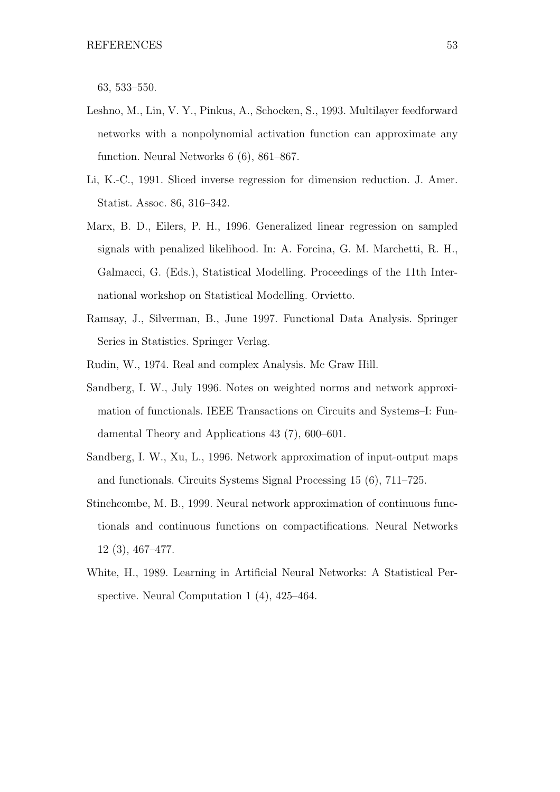63, 533–550.

- <span id="page-52-7"></span>Leshno, M., Lin, V. Y., Pinkus, A., Schocken, S., 1993. Multilayer feedforward networks with a nonpolynomial activation function can approximate any function. Neural Networks 6 (6), 861–867.
- <span id="page-52-2"></span>Li, K.-C., 1991. Sliced inverse regression for dimension reduction. J. Amer. Statist. Assoc. 86, 316–342.
- <span id="page-52-1"></span>Marx, B. D., Eilers, P. H., 1996. Generalized linear regression on sampled signals with penalized likelihood. In: A. Forcina, G. M. Marchetti, R. H., Galmacci, G. (Eds.), Statistical Modelling. Proceedings of the 11th International workshop on Statistical Modelling. Orvietto.
- <span id="page-52-0"></span>Ramsay, J., Silverman, B., June 1997. Functional Data Analysis. Springer Series in Statistics. Springer Verlag.
- <span id="page-52-8"></span><span id="page-52-5"></span>Rudin, W., 1974. Real and complex Analysis. Mc Graw Hill.
- Sandberg, I. W., July 1996. Notes on weighted norms and network approximation of functionals. IEEE Transactions on Circuits and Systems–I: Fundamental Theory and Applications 43 (7), 600–601.
- <span id="page-52-6"></span>Sandberg, I. W., Xu, L., 1996. Network approximation of input-output maps and functionals. Circuits Systems Signal Processing 15 (6), 711–725.
- <span id="page-52-3"></span>Stinchcombe, M. B., 1999. Neural network approximation of continuous functionals and continuous functions on compactifications. Neural Networks 12 (3), 467–477.
- <span id="page-52-4"></span>White, H., 1989. Learning in Artificial Neural Networks: A Statistical Perspective. Neural Computation 1 (4), 425–464.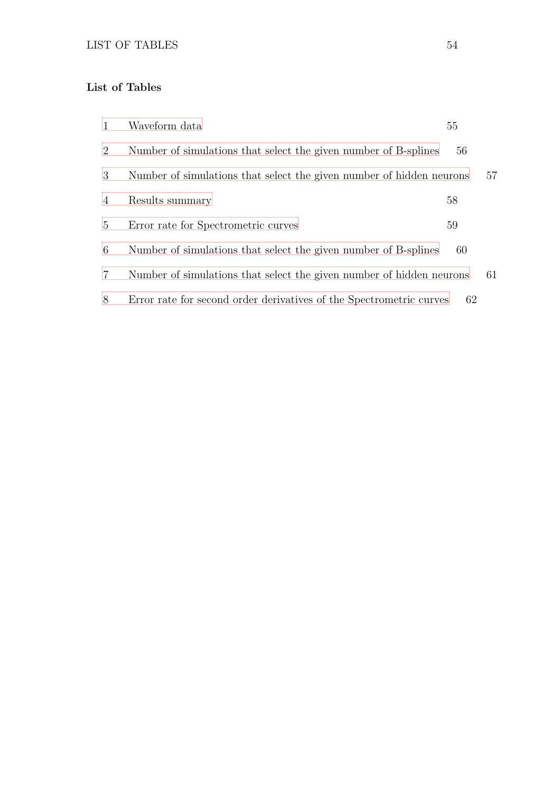# List of Tables

| $\mathbf{1}$   | Waveform data                                                        | 55 |    |
|----------------|----------------------------------------------------------------------|----|----|
| $\overline{2}$ | Number of simulations that select the given number of B-splines      | 56 |    |
| 3              | Number of simulations that select the given number of hidden neurons |    | 57 |
| 4              | Results summary                                                      | 58 |    |
| $5^{\circ}$    | Error rate for Spectrometric curves                                  | 59 |    |
| 6              | Number of simulations that select the given number of B-splines      | 60 |    |
| $\overline{7}$ | Number of simulations that select the given number of hidden neurons |    | 61 |
| 8              | Error rate for second order derivatives of the Spectrometric curves  | 62 |    |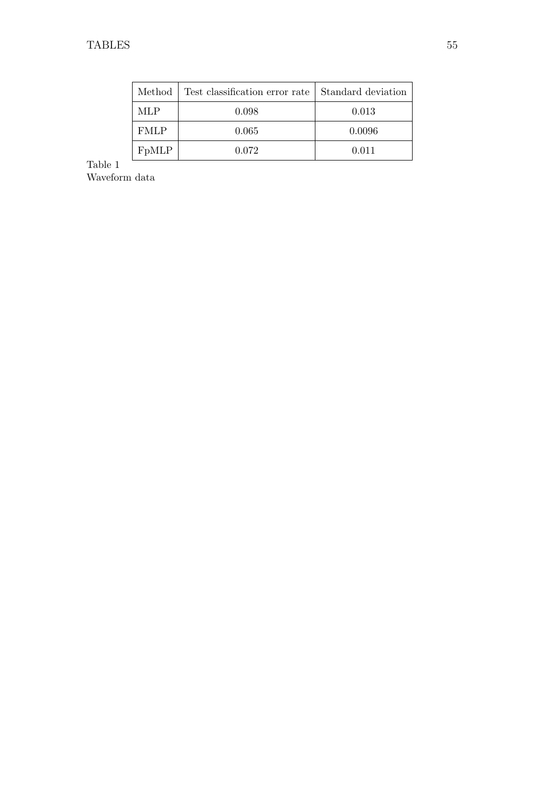| Method             | Test classification error rate   Standard deviation |        |
|--------------------|-----------------------------------------------------|--------|
| MLP.               | 0.098                                               | 0.013  |
| <b>FMLP</b>        | 0.065                                               | 0.0096 |
| F <sub>p</sub> MLP | 0.072                                               | 0.011  |

<span id="page-54-0"></span>Table 1 Waveform data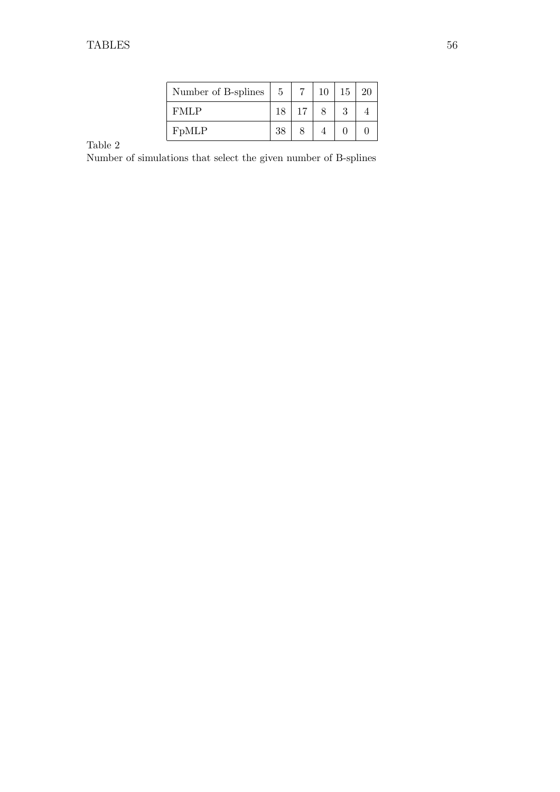| Number of B-splines | 5  |    | 10 | 15 |  |
|---------------------|----|----|----|----|--|
| FMLP                | 18 | 17 |    |    |  |
| F <sub>p</sub> MLP  | 38 |    |    |    |  |

<span id="page-55-0"></span>Number of simulations that select the given number of B-splines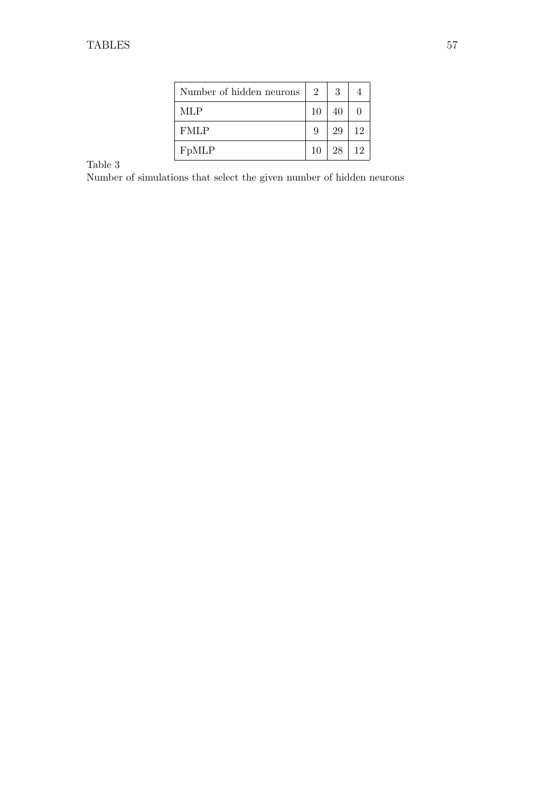| Number of hidden neurons | $\overline{2}$ | 3  |    |
|--------------------------|----------------|----|----|
| MLP                      | 10             | 40 |    |
| <b>FMLP</b>              | 9              | 29 | 12 |
| FpMLP                    | 10             | 28 | 12 |

<span id="page-56-0"></span>Number of simulations that select the given number of hidden neurons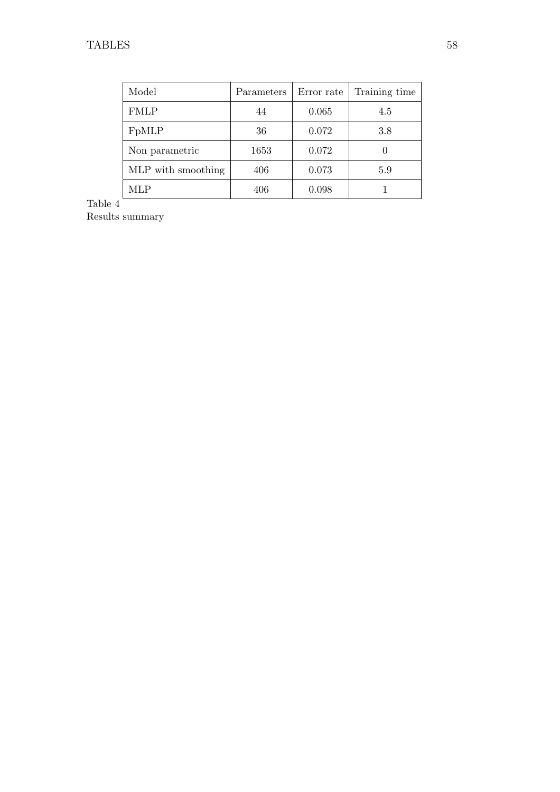| Model              | Parameters | Error rate | Training time |
|--------------------|------------|------------|---------------|
| <b>FMLP</b>        | 44         | 0.065      | 4.5           |
| F <sub>p</sub> MLP | 36         | 0.072      | 3.8           |
| Non parametric     | 1653       | 0.072      |               |
| MLP with smoothing | 406        | 0.073      | 5.9           |
| MLP                | 406        | 0.098      |               |

<span id="page-57-0"></span>Results summary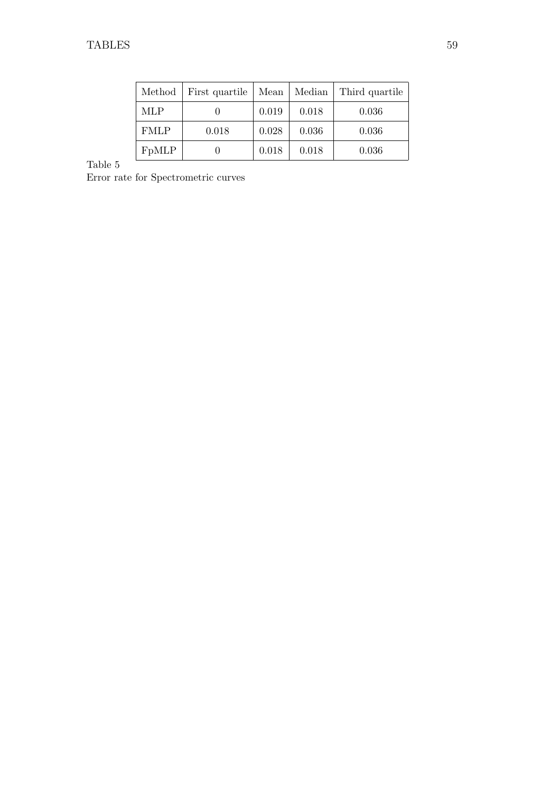| Method      | First quartile | Mean  | Median | Third quartile |
|-------------|----------------|-------|--------|----------------|
| <b>MLP</b>  |                | 0.019 | 0.018  | 0.036          |
| <b>FMLP</b> | 0.018          | 0.028 | 0.036  | 0.036          |
| FpMLP       |                | 0.018 | 0.018  | 0.036          |

<span id="page-58-0"></span>Error rate for Spectrometric curves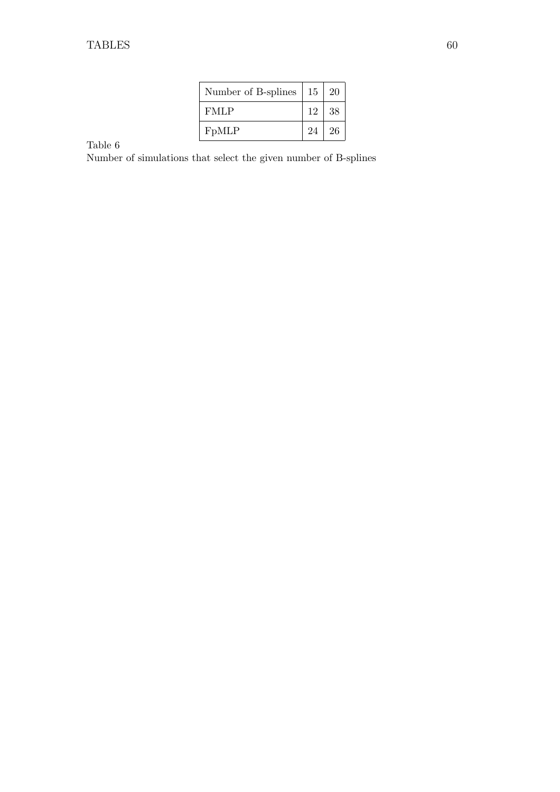| Number of B-splines | 15 | 20 |
|---------------------|----|----|
| FMLP                | 12 | 38 |
| F <sub>p</sub> MLP  | 24 | 26 |

<span id="page-59-0"></span>Number of simulations that select the given number of B-splines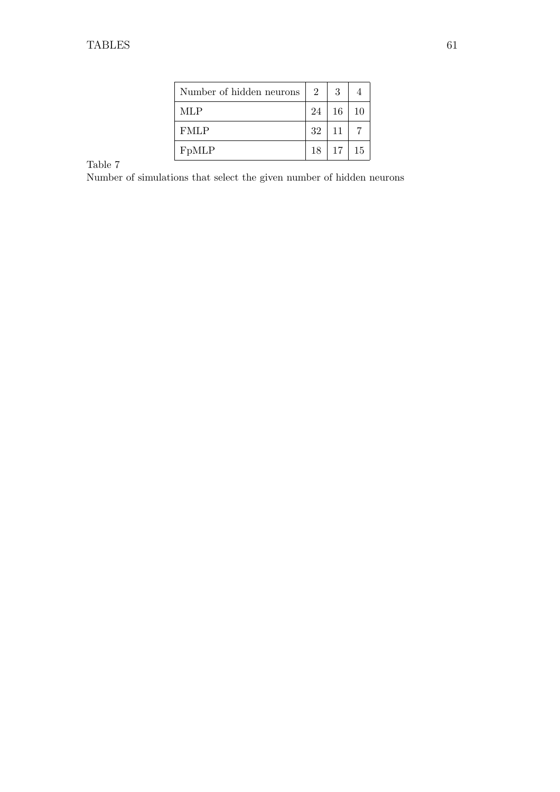| Number of hidden neurons | $\overline{2}$ | 3          |    |
|--------------------------|----------------|------------|----|
| MLP                      | 24             | 16         | 10 |
| <b>FMLP</b>              | 32             | $\vert$ 11 |    |
| F <sub>p</sub> MLP       | 18             | 17         | 15 |

<span id="page-60-0"></span>Number of simulations that select the given number of hidden neurons